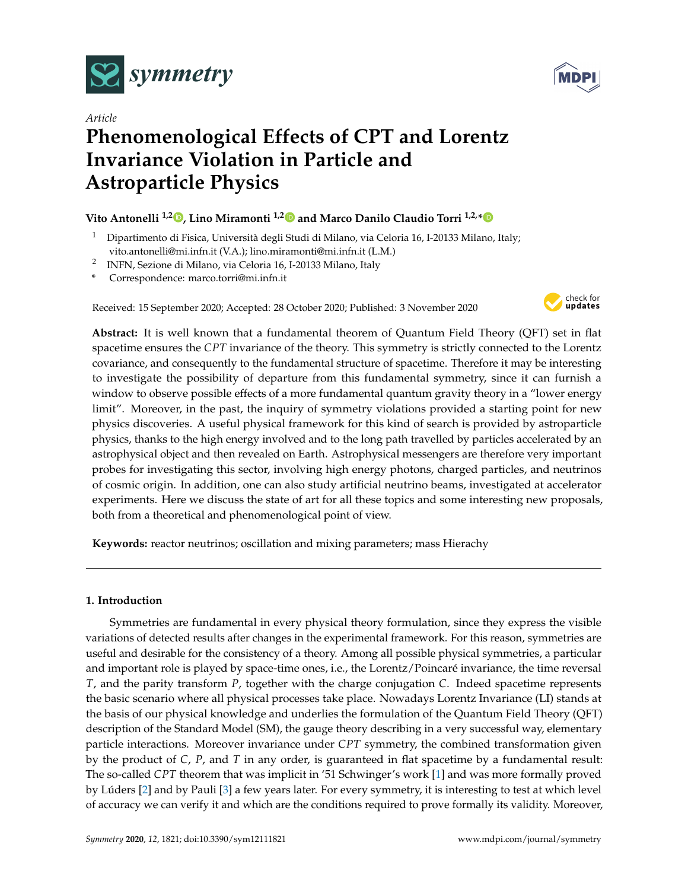



# *Article* **Phenomenological Effects of CPT and Lorentz Invariance Violation in Particle and Astroparticle Physics**

## **Vito Antonelli 1,2 [,](https://orcid.org/0000-0001-9680-0149) Lino Miramonti 1,[2](https://orcid.org/0000-0002-2808-5363) and Marco Danilo Claudio Torri 1,2,[\\*](https://orcid.org/0000-0002-8022-3495)**

- <sup>1</sup> Dipartimento di Fisica, Università degli Studi di Milano, via Celoria 16, I-20133 Milano, Italy; vito.antonelli@mi.infn.it (V.A.); lino.miramonti@mi.infn.it (L.M.)
- <sup>2</sup> INFN, Sezione di Milano, via Celoria 16, I-20133 Milano, Italy
- **\*** Correspondence: marco.torri@mi.infn.it

Received: 15 September 2020; Accepted: 28 October 2020; Published: 3 November 2020



**Abstract:** It is well known that a fundamental theorem of Quantum Field Theory (QFT) set in flat spacetime ensures the *CPT* invariance of the theory. This symmetry is strictly connected to the Lorentz covariance, and consequently to the fundamental structure of spacetime. Therefore it may be interesting to investigate the possibility of departure from this fundamental symmetry, since it can furnish a window to observe possible effects of a more fundamental quantum gravity theory in a "lower energy limit". Moreover, in the past, the inquiry of symmetry violations provided a starting point for new physics discoveries. A useful physical framework for this kind of search is provided by astroparticle physics, thanks to the high energy involved and to the long path travelled by particles accelerated by an astrophysical object and then revealed on Earth. Astrophysical messengers are therefore very important probes for investigating this sector, involving high energy photons, charged particles, and neutrinos of cosmic origin. In addition, one can also study artificial neutrino beams, investigated at accelerator experiments. Here we discuss the state of art for all these topics and some interesting new proposals, both from a theoretical and phenomenological point of view.

**Keywords:** reactor neutrinos; oscillation and mixing parameters; mass Hierachy

## **1. Introduction**

Symmetries are fundamental in every physical theory formulation, since they express the visible variations of detected results after changes in the experimental framework. For this reason, symmetries are useful and desirable for the consistency of a theory. Among all possible physical symmetries, a particular and important role is played by space-time ones, i.e., the Lorentz/Poincaré invariance, the time reversal *T*, and the parity transform *P*, together with the charge conjugation *C*. Indeed spacetime represents the basic scenario where all physical processes take place. Nowadays Lorentz Invariance (LI) stands at the basis of our physical knowledge and underlies the formulation of the Quantum Field Theory (QFT) description of the Standard Model (SM), the gauge theory describing in a very successful way, elementary particle interactions. Moreover invariance under *CPT* symmetry, the combined transformation given by the product of *C*, *P*, and *T* in any order, is guaranteed in flat spacetime by a fundamental result: The so-called *CPT* theorem that was implicit in '51 Schwinger's work [\[1\]](#page-25-0) and was more formally proved by Lúders [\[2\]](#page-25-1) and by Pauli [\[3\]](#page-25-2) a few years later. For every symmetry, it is interesting to test at which level of accuracy we can verify it and which are the conditions required to prove formally its validity. Moreover,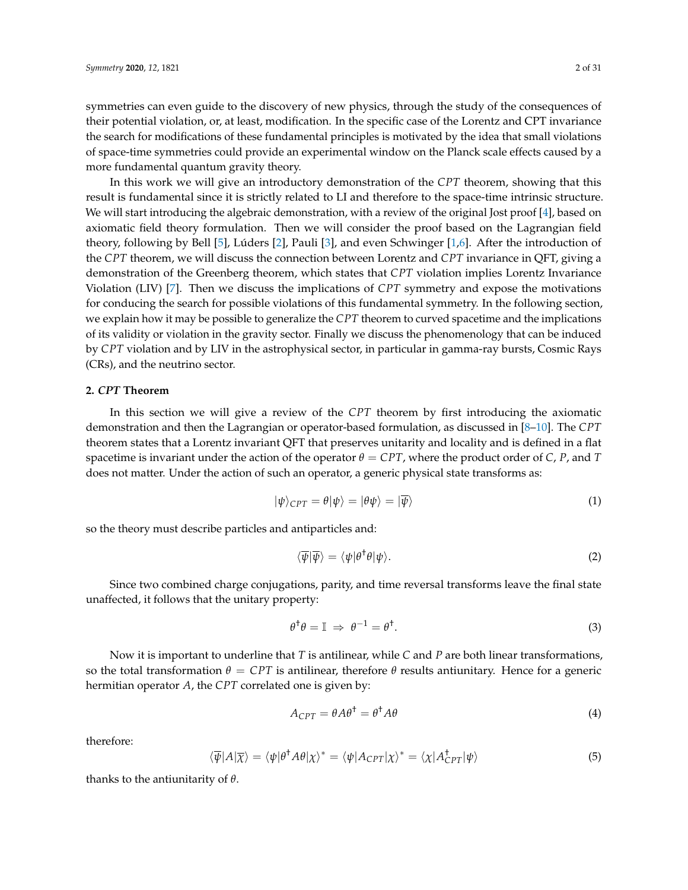symmetries can even guide to the discovery of new physics, through the study of the consequences of their potential violation, or, at least, modification. In the specific case of the Lorentz and CPT invariance the search for modifications of these fundamental principles is motivated by the idea that small violations of space-time symmetries could provide an experimental window on the Planck scale effects caused by a more fundamental quantum gravity theory.

In this work we will give an introductory demonstration of the *CPT* theorem, showing that this result is fundamental since it is strictly related to LI and therefore to the space-time intrinsic structure. We will start introducing the algebraic demonstration, with a review of the original Jost proof [\[4\]](#page-25-3), based on axiomatic field theory formulation. Then we will consider the proof based on the Lagrangian field theory, following by Bell [\[5\]](#page-25-4), Lúders [\[2\]](#page-25-1), Pauli [\[3\]](#page-25-2), and even Schwinger [\[1](#page-25-0)[,6\]](#page-25-5). After the introduction of the *CPT* theorem, we will discuss the connection between Lorentz and *CPT* invariance in QFT, giving a demonstration of the Greenberg theorem, which states that *CPT* violation implies Lorentz Invariance Violation (LIV) [\[7\]](#page-25-6). Then we discuss the implications of *CPT* symmetry and expose the motivations for conducing the search for possible violations of this fundamental symmetry. In the following section, we explain how it may be possible to generalize the *CPT* theorem to curved spacetime and the implications of its validity or violation in the gravity sector. Finally we discuss the phenomenology that can be induced by *CPT* violation and by LIV in the astrophysical sector, in particular in gamma-ray bursts, Cosmic Rays (CRs), and the neutrino sector.

## **2.** *CPT* **Theorem**

In this section we will give a review of the *CPT* theorem by first introducing the axiomatic demonstration and then the Lagrangian or operator-based formulation, as discussed in [\[8](#page-25-7)[–10\]](#page-25-8). The *CPT* theorem states that a Lorentz invariant QFT that preserves unitarity and locality and is defined in a flat spacetime is invariant under the action of the operator  $\theta = CPT$ , where the product order of *C*, *P*, and *T* does not matter. Under the action of such an operator, a generic physical state transforms as:

$$
|\psi\rangle_{CPT} = \theta |\psi\rangle = |\theta \psi\rangle = |\overline{\psi}\rangle \tag{1}
$$

so the theory must describe particles and antiparticles and:

$$
\langle \overline{\psi} | \overline{\psi} \rangle = \langle \psi | \theta^{\dagger} \theta | \psi \rangle. \tag{2}
$$

Since two combined charge conjugations, parity, and time reversal transforms leave the final state unaffected, it follows that the unitary property:

$$
\theta^{\dagger}\theta = \mathbb{I} \Rightarrow \theta^{-1} = \theta^{\dagger}.
$$
 (3)

Now it is important to underline that *T* is antilinear, while *C* and *P* are both linear transformations, so the total transformation  $θ = CPT$  is antilinear, therefore  $θ$  results antiunitary. Hence for a generic hermitian operator *A*, the *CPT* correlated one is given by:

$$
A_{CPT} = \theta A \theta^{\dagger} = \theta^{\dagger} A \theta \tag{4}
$$

therefore:

$$
\langle \overline{\psi} | A | \overline{\chi} \rangle = \langle \psi | \theta^{\dagger} A \theta | \chi \rangle^* = \langle \psi | A_{CPT} | \chi \rangle^* = \langle \chi | A_{CPT}^{\dagger} | \psi \rangle \tag{5}
$$

thanks to the antiunitarity of *θ*.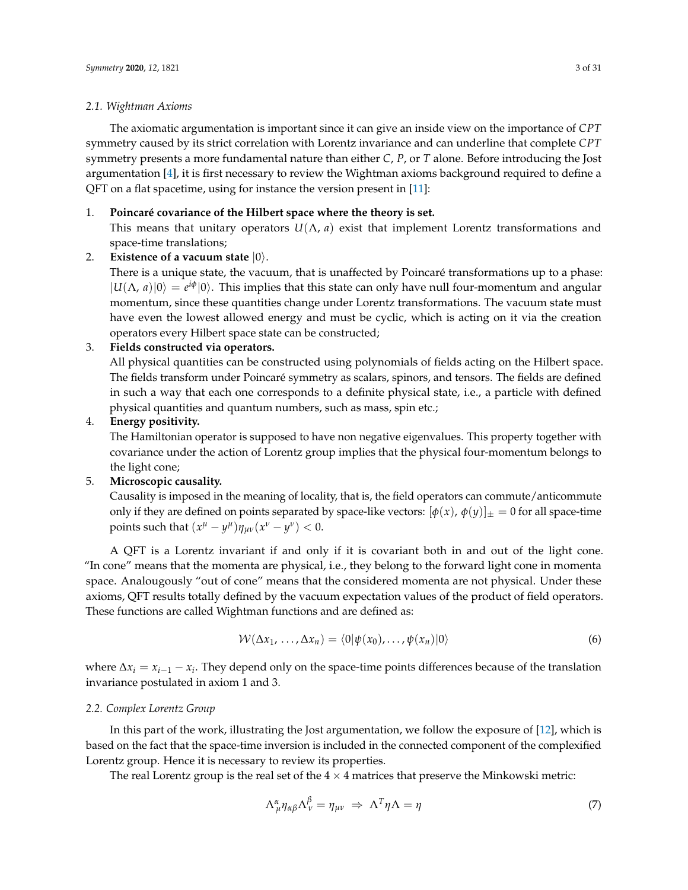## *2.1. Wightman Axioms*

The axiomatic argumentation is important since it can give an inside view on the importance of *CPT* symmetry caused by its strict correlation with Lorentz invariance and can underline that complete *CPT* symmetry presents a more fundamental nature than either *C*, *P*, or *T* alone. Before introducing the Jost argumentation [\[4\]](#page-25-3), it is first necessary to review the Wightman axioms background required to define a QFT on a flat spacetime, using for instance the version present in [\[11\]](#page-25-9):

## 1. **Poincaré covariance of the Hilbert space where the theory is set.**

This means that unitary operators  $U(\Lambda, a)$  exist that implement Lorentz transformations and space-time translations;

## 2. **Existence of a vacuum state**  $|0\rangle$ .

There is a unique state, the vacuum, that is unaffected by Poincaré transformations up to a phase:  $|U(\Lambda, a)|0\rangle = e^{i\phi}|0\rangle$ . This implies that this state can only have null four-momentum and angular momentum, since these quantities change under Lorentz transformations. The vacuum state must have even the lowest allowed energy and must be cyclic, which is acting on it via the creation operators every Hilbert space state can be constructed;

## 3. **Fields constructed via operators.**

All physical quantities can be constructed using polynomials of fields acting on the Hilbert space. The fields transform under Poincaré symmetry as scalars, spinors, and tensors. The fields are defined in such a way that each one corresponds to a definite physical state, i.e., a particle with defined physical quantities and quantum numbers, such as mass, spin etc.;

## 4. **Energy positivity.**

The Hamiltonian operator is supposed to have non negative eigenvalues. This property together with covariance under the action of Lorentz group implies that the physical four-momentum belongs to the light cone;

## 5. **Microscopic causality.**

Causality is imposed in the meaning of locality, that is, the field operators can commute/anticommute only if they are defined on points separated by space-like vectors:  $[\phi(x), \phi(y)]_{\pm} = 0$  for all space-time points such that  $(x^{\mu} - y^{\mu})\eta_{\mu\nu}(x^{\nu} - y^{\nu}) < 0.$ 

A QFT is a Lorentz invariant if and only if it is covariant both in and out of the light cone. "In cone" means that the momenta are physical, i.e., they belong to the forward light cone in momenta space. Analougously "out of cone" means that the considered momenta are not physical. Under these axioms, QFT results totally defined by the vacuum expectation values of the product of field operators. These functions are called Wightman functions and are defined as:

$$
\mathcal{W}(\Delta x_1, \ldots, \Delta x_n) = \langle 0 | \psi(x_0), \ldots, \psi(x_n) | 0 \rangle \tag{6}
$$

where ∆*x<sup>i</sup>* = *xi*−<sup>1</sup> − *x<sup>i</sup>* . They depend only on the space-time points differences because of the translation invariance postulated in axiom 1 and 3.

#### *2.2. Complex Lorentz Group*

In this part of the work, illustrating the Jost argumentation, we follow the exposure of [\[12\]](#page-25-10), which is based on the fact that the space-time inversion is included in the connected component of the complexified Lorentz group. Hence it is necessary to review its properties.

The real Lorentz group is the real set of the  $4 \times 4$  matrices that preserve the Minkowski metric:

$$
\Lambda^{\alpha}_{\mu}\eta_{\alpha\beta}\Lambda^{\beta}_{\nu}=\eta_{\mu\nu}\;\Rightarrow\;\Lambda^{T}\eta\Lambda=\eta\tag{7}
$$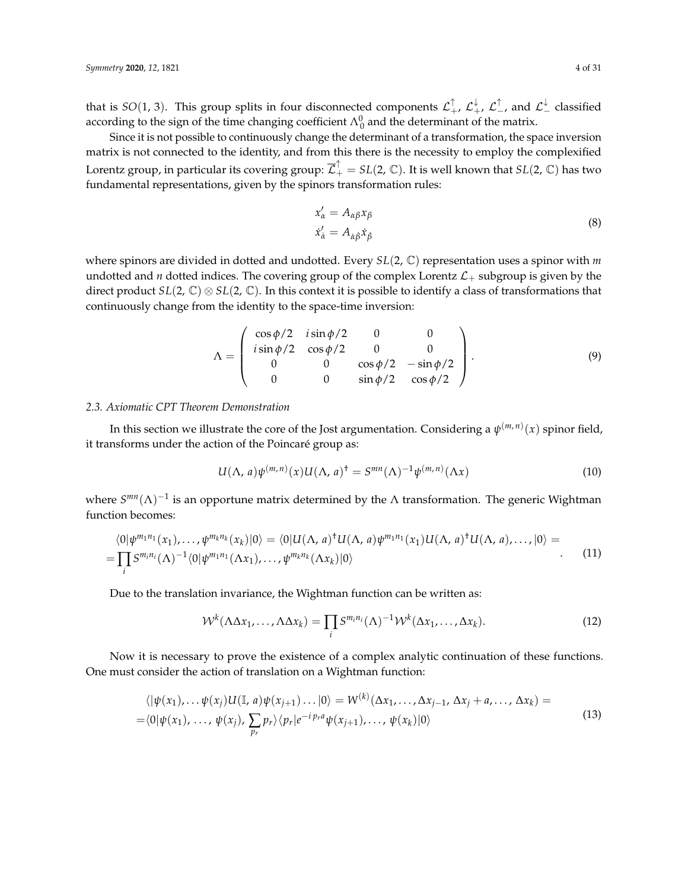that is  $SO(1,3)$ . This group splits in four disconnected components  ${\cal L}_+^\uparrow$ ,  ${\cal L}_+^\downarrow$ ,  ${\cal L}_-^\uparrow$ , and  ${\cal L}_-^\downarrow$  classified according to the sign of the time changing coefficient  $\Lambda^0_0$  and the determinant of the matrix.

Since it is not possible to continuously change the determinant of a transformation, the space inversion matrix is not connected to the identity, and from this there is the necessity to employ the complexified Lorentz group, in particular its covering group:  $\overline{\mathcal{L}}_+^\uparrow=SL(2,\mathbb{C}).$  It is well known that  $SL(2,\mathbb{C})$  has two fundamental representations, given by the spinors transformation rules:

$$
x'_{\alpha} = A_{\alpha\beta} x_{\beta}
$$
  
\n
$$
\dot{x}'_{\dot{\alpha}} = A_{\dot{\alpha}\dot{\beta}} \dot{x}_{\dot{\beta}}
$$
\n(8)

where spinors are divided in dotted and undotted. Every *SL*(2, C) representation uses a spinor with *m* undotted and *n* dotted indices. The covering group of the complex Lorentz  $\mathcal{L}_+$  subgroup is given by the direct product *SL*(2, C) ⊗ *SL*(2, C). In this context it is possible to identify a class of transformations that continuously change from the identity to the space-time inversion:

$$
\Lambda = \begin{pmatrix}\n\cos \phi / 2 & i \sin \phi / 2 & 0 & 0 \\
i \sin \phi / 2 & \cos \phi / 2 & 0 & 0 \\
0 & 0 & \cos \phi / 2 & -\sin \phi / 2 \\
0 & 0 & \sin \phi / 2 & \cos \phi / 2\n\end{pmatrix}.
$$
\n(9)

## *2.3. Axiomatic CPT Theorem Demonstration*

In this section we illustrate the core of the Jost argumentation. Considering a  $\psi^{(m,\,n)}(x)$  spinor field, it transforms under the action of the Poincaré group as:

$$
U(\Lambda, a)\psi^{(m,n)}(x)U(\Lambda, a)^{\dagger} = S^{mn}(\Lambda)^{-1}\psi^{(m,n)}(\Lambda x)
$$
\n(10)

where  $S^{mn}(\Lambda)^{-1}$  is an opportune matrix determined by the Λ transformation. The generic Wightman function becomes:

$$
\langle 0|\psi^{m_1n_1}(x_1),\ldots,\psi^{m_kn_k}(x_k)|0\rangle = \langle 0|U(\Lambda,a)^{\dagger}U(\Lambda,a)\psi^{m_1n_1}(x_1)U(\Lambda,a)^{\dagger}U(\Lambda,a),\ldots,|0\rangle = \prod_i S^{m_in_i}(\Lambda)^{-1} \langle 0|\psi^{m_1n_1}(\Lambda x_1),\ldots,\psi^{m_kn_k}(\Lambda x_k)|0\rangle
$$
\n(11)

Due to the translation invariance, the Wightman function can be written as:

<span id="page-3-0"></span>
$$
\mathcal{W}^k(\Lambda \Delta x_1, \dots, \Lambda \Delta x_k) = \prod_i S^{m_i n_i}(\Lambda)^{-1} \mathcal{W}^k(\Delta x_1, \dots, \Delta x_k).
$$
 (12)

Now it is necessary to prove the existence of a complex analytic continuation of these functions. One must consider the action of translation on a Wightman function:

$$
\langle |\psi(x_1), \dots \psi(x_j)U(\mathbb{I}, a)\psi(x_{j+1})\dots |0\rangle = W^{(k)}(\Delta x_1, \dots, \Delta x_{j-1}, \Delta x_j + a, \dots, \Delta x_k) =
$$
  
=\langle 0|\psi(x\_1), \dots, \psi(x\_j), \sum\_{p\_r} p\_r \rangle \langle p\_r|e^{-ip\_r a}\psi(x\_{j+1}), \dots, \psi(x\_k)|0\rangle (13)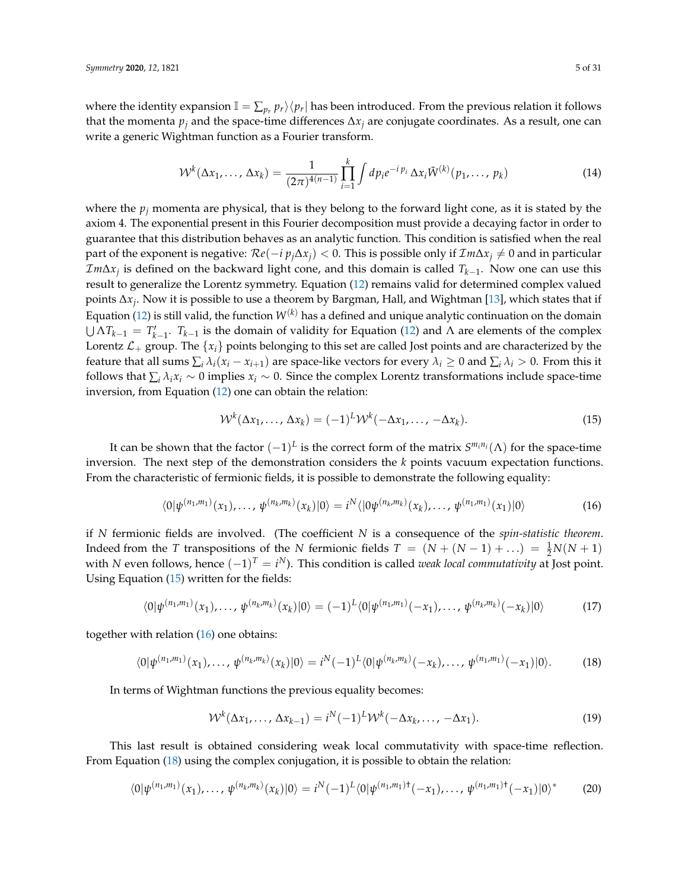where the identity expansion  $\mathbb{I} = \sum_{p_r} p_r \rangle \langle p_r |$  has been introduced. From the previous relation it follows that the momenta  $p_j$  and the space-time differences  $\Delta x_j$  are conjugate coordinates. As a result, one can write a generic Wightman function as a Fourier transform.

$$
\mathcal{W}^k(\Delta x_1,\ldots,\Delta x_k)=\frac{1}{(2\pi)^{4(n-1)}}\prod_{i=1}^k\int dp_ie^{-ip_i}\,\Delta x_i\tilde{W}^{(k)}(p_1,\ldots,p_k)\tag{14}
$$

where the  $p_j$  momenta are physical, that is they belong to the forward light cone, as it is stated by the axiom 4. The exponential present in this Fourier decomposition must provide a decaying factor in order to guarantee that this distribution behaves as an analytic function. This condition is satisfied when the real part of the exponent is negative:  $\mathcal{R}e(-i p_j \Delta x_i) < 0$ . This is possible only if  $\mathcal{I}m\Delta x_i \neq 0$  and in particular I*m*∆*x<sup>j</sup>* is defined on the backward light cone, and this domain is called *Tk*−<sup>1</sup> . Now one can use this result to generalize the Lorentz symmetry. Equation [\(12\)](#page-3-0) remains valid for determined complex valued points ∆*x<sup>j</sup>* . Now it is possible to use a theorem by Bargman, Hall, and Wightman [\[13\]](#page-25-11), which states that if Equation [\(12\)](#page-3-0) is still valid, the function  $W^{(k)}$  has a defined and unique analytic continuation on the domain  $\bigcup \Lambda T_{k-1} = T'_{k-1}$ . *T*<sub>*k*−1</sub> is the domain of validity for Equation [\(12\)](#page-3-0) and  $\Lambda$  are elements of the complex Lorentz  $\mathcal{L}_+$  group. The  $\{x_i\}$  points belonging to this set are called Jost points and are characterized by the feature that all sums  $\sum_i \lambda_i (x_i - x_{i+1})$  are space-like vectors for every  $\lambda_i \ge 0$  and  $\sum_i \lambda_i > 0$ . From this it follows that  $\sum_i \lambda_i x_i \sim 0$  implies  $x_i \sim 0$ . Since the complex Lorentz transformations include space-time inversion, from Equation [\(12\)](#page-3-0) one can obtain the relation:

<span id="page-4-0"></span>
$$
\mathcal{W}^k(\Delta x_1, \dots, \Delta x_k) = (-1)^L \mathcal{W}^k(-\Delta x_1, \dots, -\Delta x_k). \tag{15}
$$

It can be shown that the factor (−1) *L* is the correct form of the matrix *S <sup>m</sup>ini*(Λ) for the space-time inversion. The next step of the demonstration considers the *k* points vacuum expectation functions. From the characteristic of fermionic fields, it is possible to demonstrate the following equality:

<span id="page-4-1"></span>
$$
\langle 0|\psi^{(n_1,m_1)}(x_1),\ldots,\psi^{(n_k,m_k)}(x_k)|0\rangle = i^N \langle 0\psi^{(n_k,m_k)}(x_k),\ldots,\psi^{(n_1,m_1)}(x_1)|0\rangle \tag{16}
$$

if *N* fermionic fields are involved. (The coefficient *N* is a consequence of the *spin-statistic theorem*. Indeed from the *T* transpositions of the *N* fermionic fields  $T = (N + (N - 1) + ...) = \frac{1}{2}N(N + 1)$ with *N* even follows, hence  $(-1)^T = i^N$ ). This condition is called *weak local commutativity* at Jost point. Using Equation [\(15\)](#page-4-0) written for the fields:

$$
\langle 0|\psi^{(n_1,m_1)}(x_1),\ldots,\psi^{(n_k,m_k)}(x_k)|0\rangle=(-1)^L\langle 0|\psi^{(n_1,m_1)}(-x_1),\ldots,\psi^{(n_k,m_k)}(-x_k)|0\rangle
$$
 (17)

together with relation [\(16\)](#page-4-1) one obtains:

<span id="page-4-2"></span>
$$
\langle 0|\psi^{(n_1,m_1)}(x_1),\ldots,\psi^{(n_k,m_k)}(x_k)|0\rangle = i^N(-1)^L \langle 0|\psi^{(n_k,m_k)}(-x_k),\ldots,\psi^{(n_1,m_1)}(-x_1)|0\rangle. \tag{18}
$$

In terms of Wightman functions the previous equality becomes:

$$
\mathcal{W}^k(\Delta x_1, \dots, \Delta x_{k-1}) = i^N (-1)^L \mathcal{W}^k(-\Delta x_k, \dots, -\Delta x_1). \tag{19}
$$

This last result is obtained considering weak local commutativity with space-time reflection. From Equation [\(18\)](#page-4-2) using the complex conjugation, it is possible to obtain the relation:

$$
\langle 0|\psi^{(n_1,m_1)}(x_1),\ldots,\psi^{(n_k,m_k)}(x_k)|0\rangle = i^N(-1)^L \langle 0|\psi^{(n_1,m_1)}(x_1),\ldots,\psi^{(n_1,m_1)}(x_1)|0\rangle^*
$$
(20)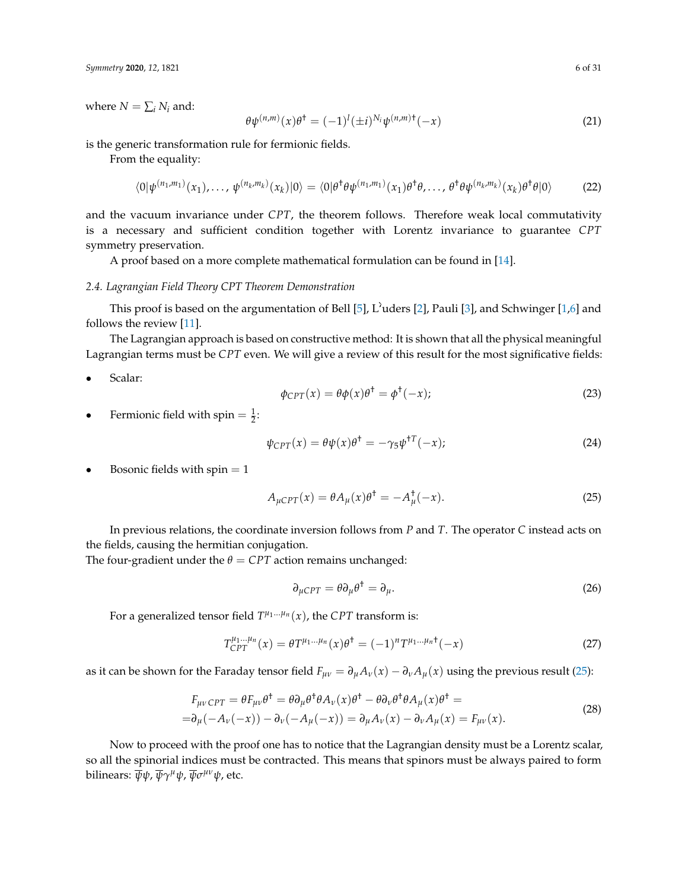where  $N = \sum_i N_i$  and:

$$
\theta \psi^{(n,m)}(x) \theta^{\dagger} = (-1)^l (\pm i)^{N_i} \psi^{(n,m)\dagger}(-x)
$$
\n(21)

is the generic transformation rule for fermionic fields.

From the equality:

$$
\langle 0|\psi^{(n_1,m_1)}(x_1),\ldots,\psi^{(n_k,m_k)}(x_k)|0\rangle = \langle 0|\theta^{\dagger}\theta\psi^{(n_1,m_1)}(x_1)\theta^{\dagger}\theta,\ldots,\theta^{\dagger}\theta\psi^{(n_k,m_k)}(x_k)\theta^{\dagger}\theta|0\rangle
$$
 (22)

and the vacuum invariance under *CPT*, the theorem follows. Therefore weak local commutativity is a necessary and sufficient condition together with Lorentz invariance to guarantee *CPT* symmetry preservation.

A proof based on a more complete mathematical formulation can be found in [\[14\]](#page-25-12).

## *2.4. Lagrangian Field Theory CPT Theorem Demonstration*

This proof is based on the argumentation of Bell [\[5\]](#page-25-4), L'uders [\[2\]](#page-25-1), Pauli [\[3\]](#page-25-2), and Schwinger [\[1,](#page-25-0)[6\]](#page-25-5) and follows the review [\[11\]](#page-25-9).

The Lagrangian approach is based on constructive method: It is shown that all the physical meaningful Lagrangian terms must be *CPT* even. We will give a review of this result for the most significative fields:

Scalar:

<span id="page-5-1"></span>
$$
\phi_{CPT}(x) = \theta \phi(x) \theta^{\dagger} = \phi^{\dagger}(-x); \tag{23}
$$

• Fermionic field with spin  $=$   $\frac{1}{2}$ :

$$
\psi_{CPT}(x) = \theta \psi(x) \theta^{\dagger} = -\gamma_5 \psi^{\dagger T}(-x); \tag{24}
$$

Bosonic fields with  $spin = 1$ 

<span id="page-5-0"></span>
$$
A_{\mu CPT}(x) = \theta A_{\mu}(x)\theta^{\dagger} = -A_{\mu}^{\dagger}(-x). \tag{25}
$$

In previous relations, the coordinate inversion follows from *P* and *T*. The operator *C* instead acts on the fields, causing the hermitian conjugation.

The four-gradient under the  $\theta$  = *CPT* action remains unchanged:

$$
\partial_{\mu CPT} = \theta \partial_{\mu} \theta^{\dagger} = \partial_{\mu}.
$$
 (26)

For a generalized tensor field  $T^{\mu_1 \ldots \mu_n}(x)$ , the *CPT* transform is:

$$
T_{CPT}^{\mu_1\ldots\mu_n}(x) = \theta T^{\mu_1\ldots\mu_n}(x)\theta^{\dagger} = (-1)^n T^{\mu_1\ldots\mu_n\dagger}(-x)
$$
\n(27)

as it can be shown for the Faraday tensor field  $F_{\mu\nu} = \partial_{\mu}A_{\nu}(x) - \partial_{\nu}A_{\mu}(x)$  using the previous result [\(25\)](#page-5-0):

$$
F_{\mu\nu\,CPT} = \theta F_{\mu\nu}\theta^{\dagger} = \theta \partial_{\mu}\theta^{\dagger}\theta A_{\nu}(x)\theta^{\dagger} - \theta \partial_{\nu}\theta^{\dagger}\theta A_{\mu}(x)\theta^{\dagger} =
$$
  
=\partial\_{\mu}(-A\_{\nu}(-x)) - \partial\_{\nu}(-A\_{\mu}(-x)) = \partial\_{\mu}A\_{\nu}(x) - \partial\_{\nu}A\_{\mu}(x) = F\_{\mu\nu}(x). (28)

Now to proceed with the proof one has to notice that the Lagrangian density must be a Lorentz scalar, so all the spinorial indices must be contracted. This means that spinors must be always paired to form bilinears:  $\overline{\psi}\psi$ ,  $\overline{\psi}\gamma^{\mu}\psi$ ,  $\overline{\psi}\sigma^{\mu\nu}\psi$ , etc.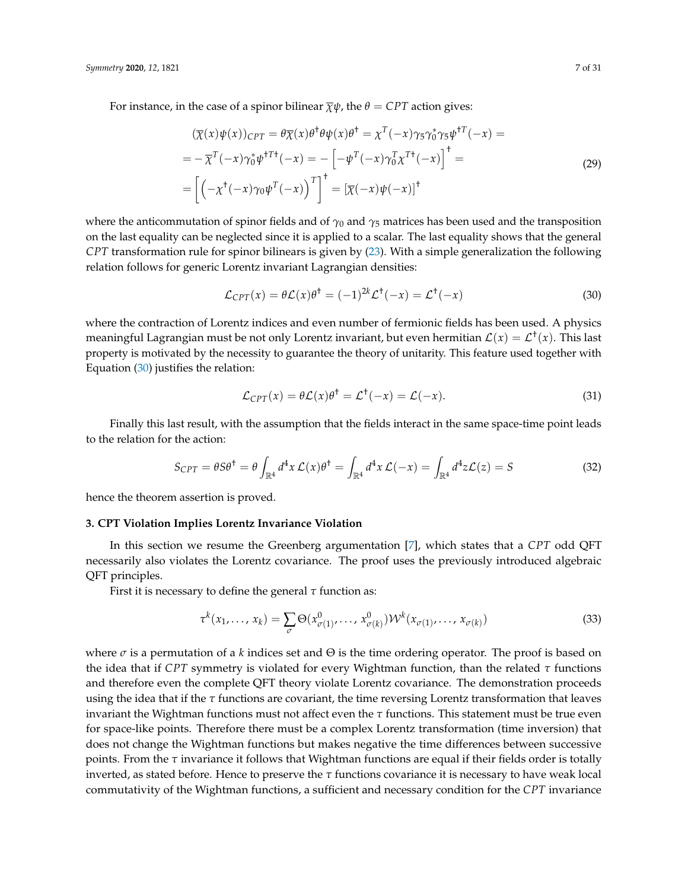For instance, in the case of a spinor bilinear  $\overline{\chi}\psi$ , the  $\theta = CPT$  action gives:

$$
(\overline{\chi}(x)\psi(x))_{CPT} = \theta \overline{\chi}(x)\theta^{\dagger} \theta \psi(x)\theta^{\dagger} = \chi^{T}(-x)\gamma_{5}\gamma_{0}^{*}\gamma_{5}\psi^{+T}(-x) =
$$
  
\n
$$
= -\overline{\chi}^{T}(-x)\gamma_{0}^{*}\psi^{+T\dagger}(-x) = -\left[-\psi^{T}(-x)\gamma_{0}^{T}\chi^{T\dagger}(-x)\right]^{\dagger} =
$$
  
\n
$$
= \left[\left(-\chi^{+}(-x)\gamma_{0}\psi^{T}(-x)\right)^{T}\right]^{\dagger} = \left[\overline{\chi}(-x)\psi(-x)\right]^{\dagger}
$$
\n(29)

where the anticommutation of spinor fields and of  $\gamma_0$  and  $\gamma_5$  matrices has been used and the transposition on the last equality can be neglected since it is applied to a scalar. The last equality shows that the general *CPT* transformation rule for spinor bilinears is given by [\(23\)](#page-5-1). With a simple generalization the following relation follows for generic Lorentz invariant Lagrangian densities:

<span id="page-6-0"></span>
$$
\mathcal{L}_{CPT}(x) = \theta \mathcal{L}(x)\theta^{\dagger} = (-1)^{2k} \mathcal{L}^{\dagger}(-x) = \mathcal{L}^{\dagger}(-x)
$$
\n(30)

where the contraction of Lorentz indices and even number of fermionic fields has been used. A physics meaningful Lagrangian must be not only Lorentz invariant, but even hermitian  $\mathcal{L}(x)=\mathcal{L}^{\dagger}(x).$  This last property is motivated by the necessity to guarantee the theory of unitarity. This feature used together with Equation [\(30\)](#page-6-0) justifies the relation:

$$
\mathcal{L}_{CPT}(x) = \theta \mathcal{L}(x)\theta^{\dagger} = \mathcal{L}^{\dagger}(-x) = \mathcal{L}(-x). \tag{31}
$$

Finally this last result, with the assumption that the fields interact in the same space-time point leads to the relation for the action:

$$
S_{CPT} = \theta S \theta^{\dagger} = \theta \int_{\mathbb{R}^4} d^4x \, \mathcal{L}(x) \theta^{\dagger} = \int_{\mathbb{R}^4} d^4x \, \mathcal{L}(-x) = \int_{\mathbb{R}^4} d^4z \mathcal{L}(z) = S \tag{32}
$$

hence the theorem assertion is proved.

### **3. CPT Violation Implies Lorentz Invariance Violation**

In this section we resume the Greenberg argumentation [\[7\]](#page-25-6), which states that a *CPT* odd QFT necessarily also violates the Lorentz covariance. The proof uses the previously introduced algebraic QFT principles.

First it is necessary to define the general *τ* function as:

$$
\tau^k(x_1,\ldots,x_k) = \sum_{\sigma} \Theta(x_{\sigma(1)}^0,\ldots,x_{\sigma(k)}^0) \mathcal{W}^k(x_{\sigma(1)},\ldots,x_{\sigma(k)})
$$
\n(33)

where *σ* is a permutation of a *k* indices set and Θ is the time ordering operator. The proof is based on the idea that if *CPT* symmetry is violated for every Wightman function, than the related *τ* functions and therefore even the complete QFT theory violate Lorentz covariance. The demonstration proceeds using the idea that if the *τ* functions are covariant, the time reversing Lorentz transformation that leaves invariant the Wightman functions must not affect even the *τ* functions. This statement must be true even for space-like points. Therefore there must be a complex Lorentz transformation (time inversion) that does not change the Wightman functions but makes negative the time differences between successive points. From the *τ* invariance it follows that Wightman functions are equal if their fields order is totally inverted, as stated before. Hence to preserve the *τ* functions covariance it is necessary to have weak local commutativity of the Wightman functions, a sufficient and necessary condition for the *CPT* invariance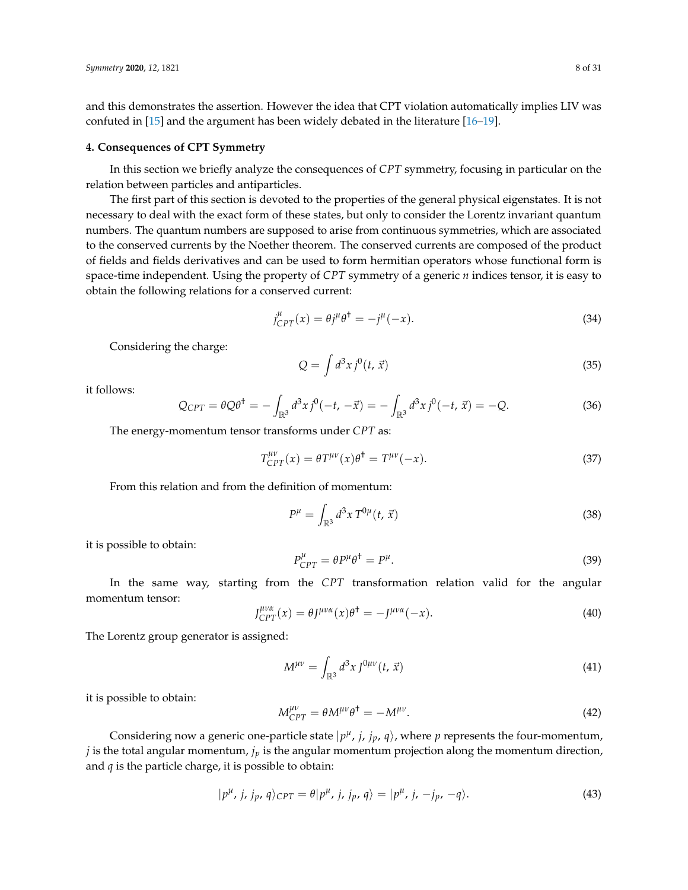and this demonstrates the assertion. However the idea that CPT violation automatically implies LIV was confuted in [\[15\]](#page-25-13) and the argument has been widely debated in the literature [\[16](#page-25-14)[–19\]](#page-25-15).

#### **4. Consequences of CPT Symmetry**

In this section we briefly analyze the consequences of *CPT* symmetry, focusing in particular on the relation between particles and antiparticles.

The first part of this section is devoted to the properties of the general physical eigenstates. It is not necessary to deal with the exact form of these states, but only to consider the Lorentz invariant quantum numbers. The quantum numbers are supposed to arise from continuous symmetries, which are associated to the conserved currents by the Noether theorem. The conserved currents are composed of the product of fields and fields derivatives and can be used to form hermitian operators whose functional form is space-time independent. Using the property of *CPT* symmetry of a generic *n* indices tensor, it is easy to obtain the following relations for a conserved current:

$$
j_{CPT}^{\mu}(x) = \theta j^{\mu} \theta^{\dagger} = -j^{\mu}(-x). \tag{34}
$$

Considering the charge:

$$
Q = \int d^3x \, j^0(t, \vec{x}) \tag{35}
$$

it follows:

$$
Q_{CPT} = \theta Q \theta^{\dagger} = -\int_{\mathbb{R}^3} d^3 x \, j^0(-t, -\vec{x}) = -\int_{\mathbb{R}^3} d^3 x \, j^0(-t, \vec{x}) = -Q. \tag{36}
$$

The energy-momentum tensor transforms under *CPT* as:

$$
T_{CPT}^{\mu\nu}(x) = \theta T^{\mu\nu}(x)\theta^{\dagger} = T^{\mu\nu}(-x).
$$
\n(37)

From this relation and from the definition of momentum:

$$
P^{\mu} = \int_{\mathbb{R}^3} d^3 x \, T^{0\mu}(t, \, \vec{x}) \tag{38}
$$

it is possible to obtain:

$$
P_{CPT}^{\mu} = \theta P^{\mu} \theta^{\dagger} = P^{\mu}.
$$
\n(39)

In the same way, starting from the *CPT* transformation relation valid for the angular momentum tensor:

$$
J_{CPT}^{\mu\nu\alpha}(x) = \theta J^{\mu\nu\alpha}(x)\theta^{\dagger} = -J^{\mu\nu\alpha}(-x). \tag{40}
$$

The Lorentz group generator is assigned:

$$
M^{\mu\nu} = \int_{\mathbb{R}^3} d^3x \, J^{0\mu\nu}(t, \, \vec{x}) \tag{41}
$$

it is possible to obtain:

$$
M_{CPT}^{\mu\nu} = \theta M^{\mu\nu} \theta^{\dagger} = -M^{\mu\nu}.
$$
\n(42)

Considering now a generic one-particle state  $|p^{\mu}, j, j_{p}, q\rangle$ , where  $p$  represents the four-momentum, *j* is the total angular momentum, *j<sup>p</sup>* is the angular momentum projection along the momentum direction, and *q* is the particle charge, it is possible to obtain:

$$
|p^{\mu}, j, j_p, q\rangle_{CPT} = \theta |p^{\mu}, j, j_p, q\rangle = |p^{\mu}, j, -j_p, -q\rangle.
$$
 (43)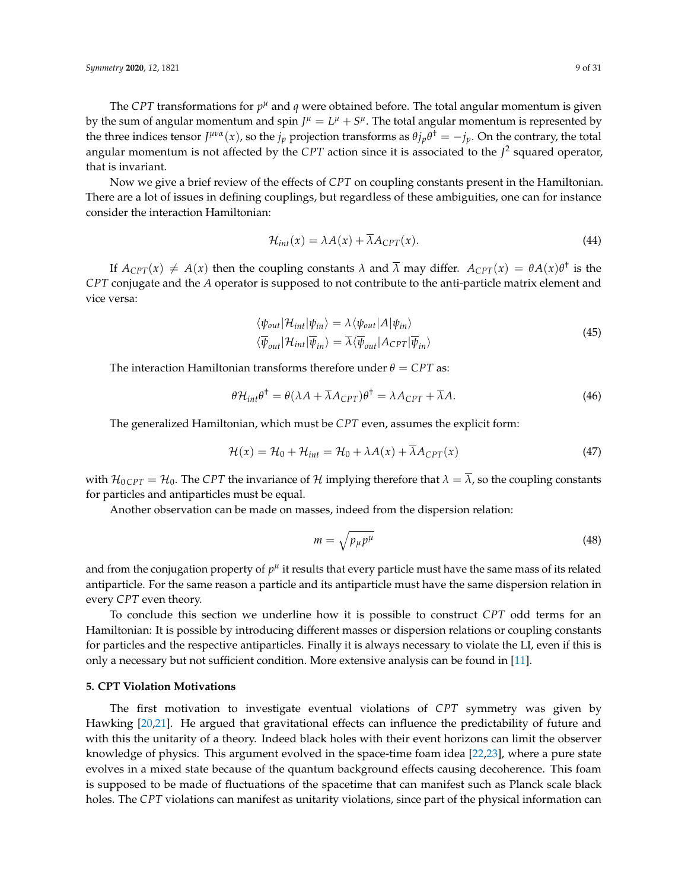The *CPT* transformations for  $p^{\mu}$  and  $q$  were obtained before. The total angular momentum is given by the sum of angular momentum and spin  $J^{\mu} = L^{\mu} + S^{\mu}$ . The total angular momentum is represented by the three indices tensor  $J^{\mu\nu\alpha}(x)$ , so the  $j_p$  projection transforms as  $\theta j_p\theta^\dagger=-j_p.$  On the contrary, the total angular momentum is not affected by the *CPT* action since it is associated to the *J* 2 squared operator, that is invariant.

Now we give a brief review of the effects of *CPT* on coupling constants present in the Hamiltonian. There are a lot of issues in defining couplings, but regardless of these ambiguities, one can for instance consider the interaction Hamiltonian:

$$
\mathcal{H}_{int}(x) = \lambda A(x) + \overline{\lambda} A_{CPT}(x). \tag{44}
$$

If  $A_{CPT}(x) \neq A(x)$  then the coupling constants  $\lambda$  and  $\overline{\lambda}$  may differ.  $A_{CPT}(x) = \theta A(x) \theta^{\dagger}$  is the *CPT* conjugate and the *A* operator is supposed to not contribute to the anti-particle matrix element and vice versa:

$$
\langle \psi_{out} | \mathcal{H}_{int} | \psi_{in} \rangle = \lambda \langle \psi_{out} | A | \psi_{in} \rangle
$$
  

$$
\langle \overline{\psi}_{out} | \mathcal{H}_{int} | \overline{\psi}_{in} \rangle = \overline{\lambda} \langle \overline{\psi}_{out} | A_{CPT} | \overline{\psi}_{in} \rangle
$$
 (45)

The interaction Hamiltonian transforms therefore under  $\theta = CPT$  as:

$$
\theta \mathcal{H}_{int} \theta^{\dagger} = \theta (\lambda A + \overline{\lambda} A_{CPT}) \theta^{\dagger} = \lambda A_{CPT} + \overline{\lambda} A. \tag{46}
$$

The generalized Hamiltonian, which must be *CPT* even, assumes the explicit form:

$$
\mathcal{H}(x) = \mathcal{H}_0 + \mathcal{H}_{int} = \mathcal{H}_0 + \lambda A(x) + \overline{\lambda} A_{CPT}(x)
$$
\n(47)

with  $\mathcal{H}_{0 \text{CPT}} = \mathcal{H}_0$ . The *CPT* the invariance of  $\mathcal{H}$  implying therefore that  $\lambda = \overline{\lambda}$ , so the coupling constants for particles and antiparticles must be equal.

Another observation can be made on masses, indeed from the dispersion relation:

$$
m = \sqrt{p_{\mu}p^{\mu}}
$$
 (48)

and from the conjugation property of  $p^\mu$  it results that every particle must have the same mass of its related antiparticle. For the same reason a particle and its antiparticle must have the same dispersion relation in every *CPT* even theory.

To conclude this section we underline how it is possible to construct *CPT* odd terms for an Hamiltonian: It is possible by introducing different masses or dispersion relations or coupling constants for particles and the respective antiparticles. Finally it is always necessary to violate the LI, even if this is only a necessary but not sufficient condition. More extensive analysis can be found in [\[11\]](#page-25-9).

## **5. CPT Violation Motivations**

The first motivation to investigate eventual violations of *CPT* symmetry was given by Hawking [\[20,](#page-25-16)[21\]](#page-25-17). He argued that gravitational effects can influence the predictability of future and with this the unitarity of a theory. Indeed black holes with their event horizons can limit the observer knowledge of physics. This argument evolved in the space-time foam idea [\[22,](#page-25-18)[23\]](#page-25-19), where a pure state evolves in a mixed state because of the quantum background effects causing decoherence. This foam is supposed to be made of fluctuations of the spacetime that can manifest such as Planck scale black holes. The *CPT* violations can manifest as unitarity violations, since part of the physical information can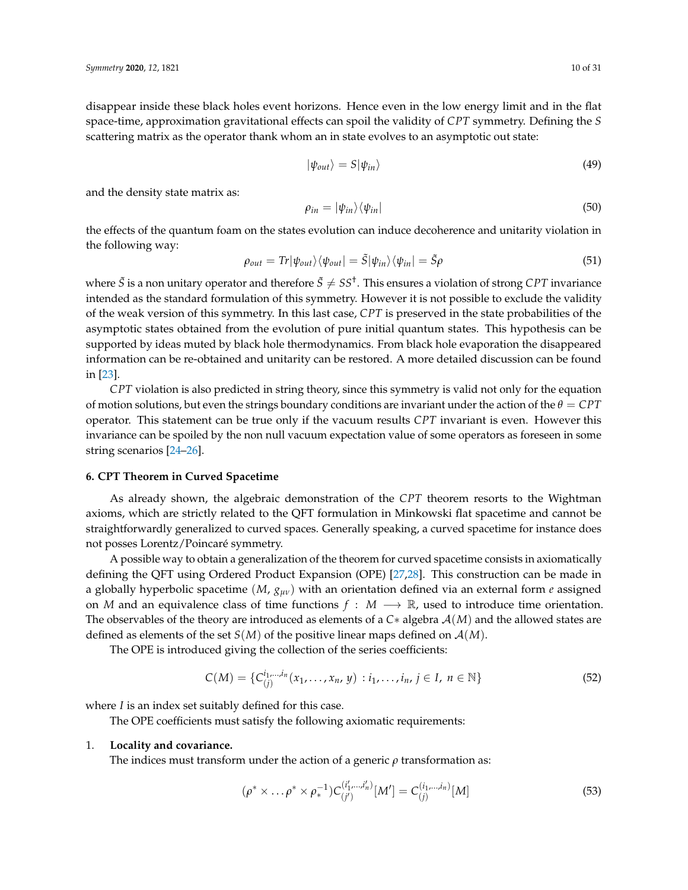disappear inside these black holes event horizons. Hence even in the low energy limit and in the flat space-time, approximation gravitational effects can spoil the validity of *CPT* symmetry. Defining the *S* scattering matrix as the operator thank whom an in state evolves to an asymptotic out state:

$$
|\psi_{out}\rangle = S|\psi_{in}\rangle \tag{49}
$$

and the density state matrix as:

$$
\rho_{in} = |\psi_{in}\rangle\langle\psi_{in}| \tag{50}
$$

the effects of the quantum foam on the states evolution can induce decoherence and unitarity violation in the following way:

$$
\rho_{out} = Tr|\psi_{out}\rangle\langle\psi_{out}| = \tilde{S}|\psi_{in}\rangle\langle\psi_{in}| = \tilde{S}\rho
$$
\n(51)

where  $\tilde{S}$  is a non unitary operator and therefore  $\tilde{S}\neq SS^{\ddagger}$ . This ensures a violation of strong *CPT* invariance intended as the standard formulation of this symmetry. However it is not possible to exclude the validity of the weak version of this symmetry. In this last case, *CPT* is preserved in the state probabilities of the asymptotic states obtained from the evolution of pure initial quantum states. This hypothesis can be supported by ideas muted by black hole thermodynamics. From black hole evaporation the disappeared information can be re-obtained and unitarity can be restored. A more detailed discussion can be found in [\[23\]](#page-25-19).

*CPT* violation is also predicted in string theory, since this symmetry is valid not only for the equation of motion solutions, but even the strings boundary conditions are invariant under the action of the *θ* = *CPT* operator. This statement can be true only if the vacuum results *CPT* invariant is even. However this invariance can be spoiled by the non null vacuum expectation value of some operators as foreseen in some string scenarios [\[24](#page-25-20)[–26\]](#page-26-0).

#### **6. CPT Theorem in Curved Spacetime**

As already shown, the algebraic demonstration of the *CPT* theorem resorts to the Wightman axioms, which are strictly related to the QFT formulation in Minkowski flat spacetime and cannot be straightforwardly generalized to curved spaces. Generally speaking, a curved spacetime for instance does not posses Lorentz/Poincaré symmetry.

A possible way to obtain a generalization of the theorem for curved spacetime consists in axiomatically defining the QFT using Ordered Product Expansion (OPE) [\[27](#page-26-1)[,28\]](#page-26-2). This construction can be made in a globally hyperbolic spacetime (*M*, *gµν*) with an orientation defined via an external form *e* assigned on *M* and an equivalence class of time functions  $f : M \longrightarrow \mathbb{R}$ , used to introduce time orientation. The observables of the theory are introduced as elements of a *C*∗ algebra A(*M*) and the allowed states are defined as elements of the set *S*(*M*) of the positive linear maps defined on  $A(M)$ .

The OPE is introduced giving the collection of the series coefficients:

$$
C(M) = \{C_{(j)}^{i_1,\dots,i_n}(x_1,\dots,x_n,y) : i_1,\dots,i_n, j \in I, n \in \mathbb{N}\}\
$$
 (52)

where *I* is an index set suitably defined for this case.

The OPE coefficients must satisfy the following axiomatic requirements:

#### 1. **Locality and covariance.**

The indices must transform under the action of a generic *ρ* transformation as:

$$
(\rho^* \times \dots \rho^* \times \rho_*^{-1}) C_{(j')}^{(i'_1, \dots, i'_n)}[M'] = C_{(j)}^{(i_1, \dots, i_n)}[M]
$$
(53)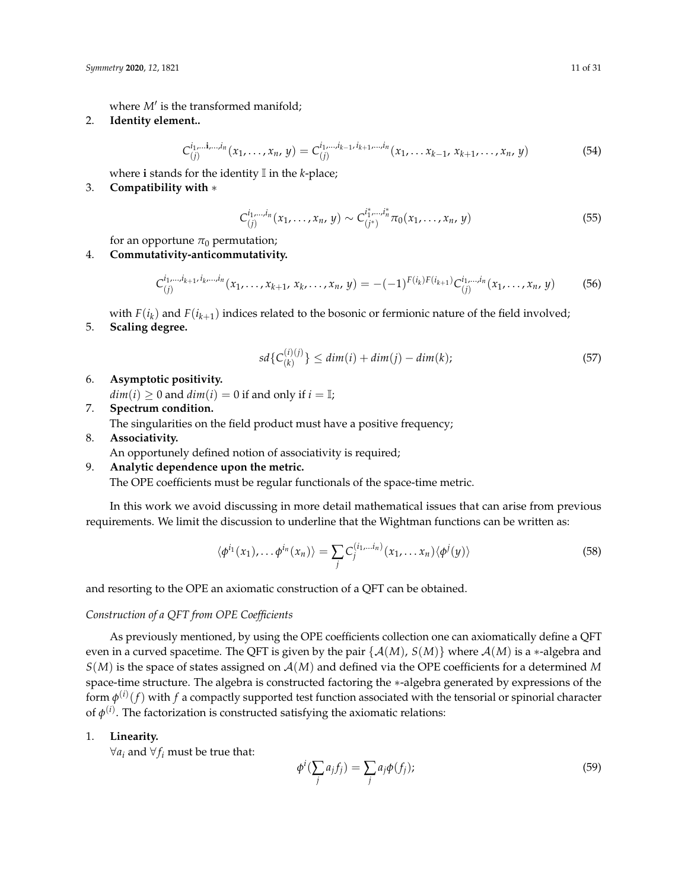where  $M'$  is the transformed manifold;

2. **Identity element..**

$$
C_{(j)}^{i_1,\dots,i_r,\dots,i_n}(x_1,\dots,x_n,y) = C_{(j)}^{i_1,\dots,i_{k-1},i_{k+1},\dots,i_n}(x_1,\dots,x_{k-1},x_{k+1},\dots,x_n,y)
$$
(54)

where **i** stands for the identity I in the *k*-place;

3. **Compatibility with** ∗

$$
C_{(j)}^{i_1,\dots,i_n}(x_1,\dots,x_n,y) \sim C_{(j^*)}^{i_1^*,\dots,i_n^*} \pi_0(x_1,\dots,x_n,y)
$$
\n(55)

for an opportune  $\pi_0$  permutation;

4. **Commutativity-anticommutativity.**

$$
C_{(j)}^{i_1,\dots,i_{k+1},i_k,\dots,i_n}(x_1,\dots,x_{k+1},x_k,\dots,x_n,y) = -(-1)^{F(i_k)F(i_{k+1})}C_{(j)}^{i_1,\dots,i_n}(x_1,\dots,x_n,y) \tag{56}
$$

with  $F(i_k)$  and  $F(i_{k+1})$  indices related to the bosonic or fermionic nature of the field involved;

5. **Scaling degree.**

$$
sd{C_{(k)}^{(i)(j)}} \le dim(i) + dim(j) - dim(k); \tag{57}
$$

- 6. **Asymptotic positivity.**  $dim(i) \geq 0$  and  $dim(i) = 0$  if and only if  $i = \mathbb{I}$ ;
- 7. **Spectrum condition.** The singularities on the field product must have a positive frequency; 8. **Associativity.**
	- An opportunely defined notion of associativity is required;
- 9. **Analytic dependence upon the metric.**

The OPE coefficients must be regular functionals of the space-time metric.

In this work we avoid discussing in more detail mathematical issues that can arise from previous requirements. We limit the discussion to underline that the Wightman functions can be written as:

$$
\langle \phi^{i_1}(x_1), \dots \phi^{i_n}(x_n) \rangle = \sum_j C_j^{(i_1, \dots, i_n)}(x_1, \dots, x_n) \langle \phi^j(y) \rangle \tag{58}
$$

and resorting to the OPE an axiomatic construction of a QFT can be obtained.

## *Construction of a QFT from OPE Coefficients*

As previously mentioned, by using the OPE coefficients collection one can axiomatically define a QFT even in a curved spacetime. The QFT is given by the pair  $\{A(M), S(M)\}$  where  $A(M)$  is a  $*$ -algebra and  $S(M)$  is the space of states assigned on  $A(M)$  and defined via the OPE coefficients for a determined M space-time structure. The algebra is constructed factoring the ∗-algebra generated by expressions of the form  $\phi^{(i)}(f)$  with  $f$  a compactly supported test function associated with the tensorial or spinorial character of  $\phi^{(i)}$ . The factorization is constructed satisfying the axiomatic relations:

#### 1. **Linearity.**

 $∀a_i$  and  $∀f_i$  must be true that:

$$
\phi^i(\sum_j a_j f_j) = \sum_j a_j \phi(f_j); \tag{59}
$$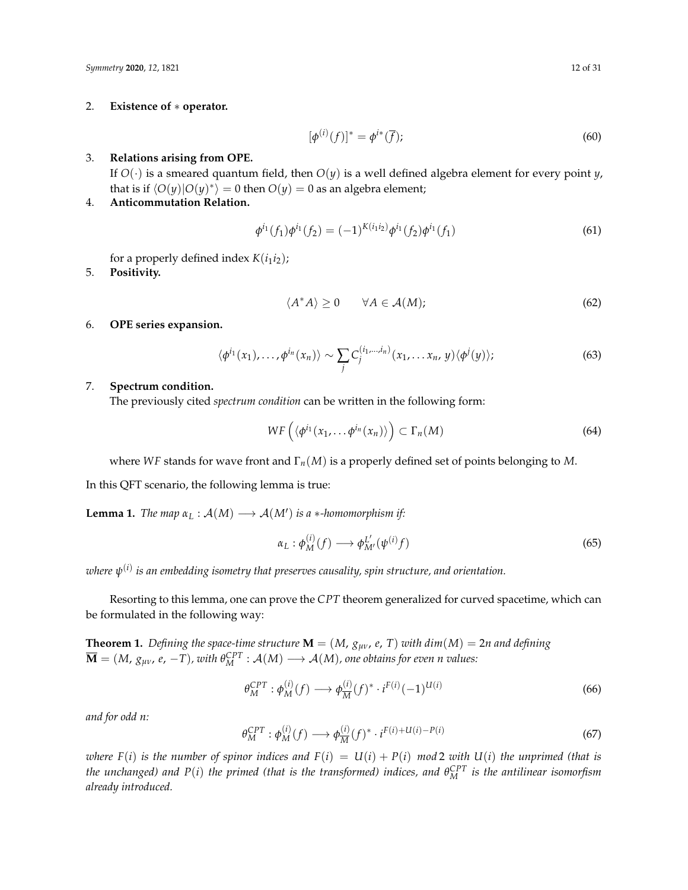2. **Existence of** ∗ **operator.**

$$
[\phi^{(i)}(f)]^* = \phi^{i*}(\overline{f});\tag{60}
$$

#### 3. **Relations arising from OPE.**

If  $O(\cdot)$  is a smeared quantum field, then  $O(\psi)$  is a well defined algebra element for every point  $\psi$ , that is if  $\langle O(y)|O(y)^* \rangle = 0$  then  $O(y) = 0$  as an algebra element;

4. **Anticommutation Relation.**

$$
\phi^{i_1}(f_1)\phi^{i_1}(f_2) = (-1)^{K(i_1i_2)}\phi^{i_1}(f_2)\phi^{i_1}(f_1)
$$
\n(61)

for a properly defined index  $K(i_1 i_2)$ ;

5. **Positivity.**

$$
\langle A^* A \rangle \ge 0 \qquad \forall A \in \mathcal{A}(M); \tag{62}
$$

6. **OPE series expansion.**

$$
\langle \phi^{i_1}(x_1), \dots, \phi^{i_n}(x_n) \rangle \sim \sum_j C_j^{(i_1, \dots, i_n)}(x_1, \dots, x_n, y) \langle \phi^j(y) \rangle; \tag{63}
$$

## 7. **Spectrum condition.**

The previously cited *spectrum condition* can be written in the following form:

$$
WF\left(\langle \phi^{i_1}(x_1,\ldots \phi^{i_n}(x_n))\rangle\right) \subset \Gamma_n(M) \tag{64}
$$

where *WF* stands for wave front and Γ*n*(*M*) is a properly defined set of points belonging to *M*.

In this QFT scenario, the following lemma is true:

**Lemma 1.** *The map*  $\alpha_L : \mathcal{A}(M) \longrightarrow \mathcal{A}(M')$  *is a* \**-homomorphism if:* 

$$
\alpha_L : \phi_M^{(i)}(f) \longrightarrow \phi_{M'}^{L'}(\psi^{(i)}f) \tag{65}
$$

*where ψ* (*i*) *is an embedding isometry that preserves causality, spin structure, and orientation.*

Resorting to this lemma, one can prove the *CPT* theorem generalized for curved spacetime, which can be formulated in the following way:

**Theorem 1.** *Defining the space-time structure*  $\mathbf{M} = (M, g_{\mu\nu}, e, T)$  *with dim* $(M) = 2n$  *and defining*  $\overline{\mathbf{M}} = (M, g_{\mu\nu}, e, -T)$ , with  $\theta^{CPT}_M : \mathcal{A}(M) \longrightarrow \mathcal{A}(M)$ , one obtains for even n values:

$$
\theta_M^{CPT}: \phi_M^{(i)}(f) \longrightarrow \phi_M^{(i)}(f)^* \cdot i^{F(i)}(-1)^{U(i)} \tag{66}
$$

*and for odd n:*

$$
\theta_M^{CPT} : \phi_M^{(i)}(f) \longrightarrow \phi_M^{(i)}(f)^* \cdot i^{F(i) + U(i) - P(i)} \tag{67}
$$

*where*  $F(i)$  *is the number of spinor indices and*  $F(i) = U(i) + P(i)$  *mod* 2 *with*  $U(i)$  *the unprimed (that is the unchanged) and*  $P(i)$  *the primed (that is the transformed) indices, and*  $\theta_M^{\text{CPT}}$  *is the antilinear isomorfism already introduced.*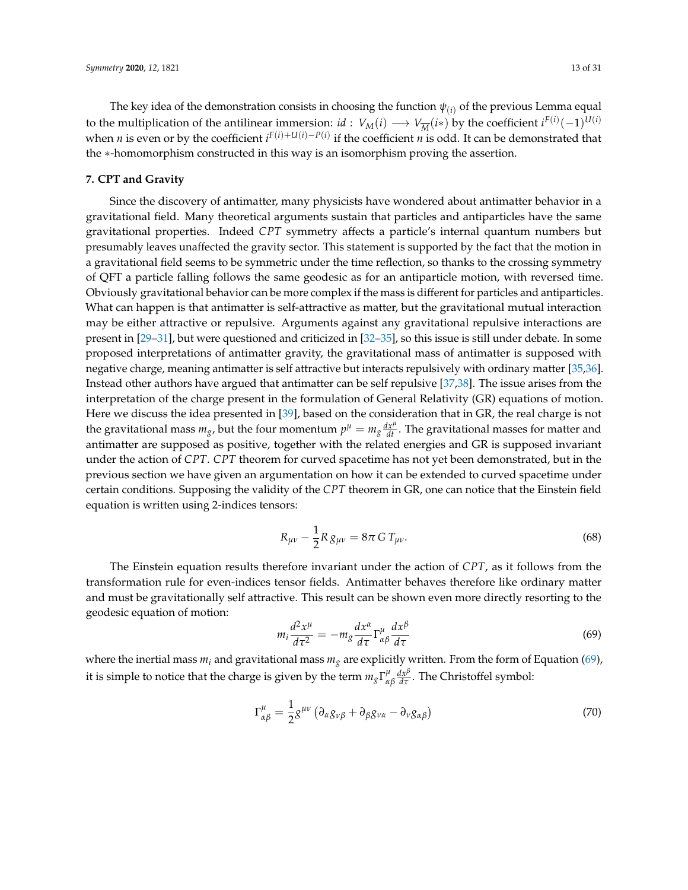The key idea of the demonstration consists in choosing the function  $\psi_{(i)}$  of the previous Lemma equal to the multiplication of the antilinear immersion: *id* :  $V_M(i) \longrightarrow V_{\overline{M}}(i*)$  by the coefficient  $i^{F(i)}(-1)^{U(i)}$ when *n* is even or by the coefficient  $i^{F(i)+U(i)-P(i)}$  if the coefficient *n* is odd. It can be demonstrated that the ∗-homomorphism constructed in this way is an isomorphism proving the assertion.

## **7. CPT and Gravity**

Since the discovery of antimatter, many physicists have wondered about antimatter behavior in a gravitational field. Many theoretical arguments sustain that particles and antiparticles have the same gravitational properties. Indeed *CPT* symmetry affects a particle's internal quantum numbers but presumably leaves unaffected the gravity sector. This statement is supported by the fact that the motion in a gravitational field seems to be symmetric under the time reflection, so thanks to the crossing symmetry of QFT a particle falling follows the same geodesic as for an antiparticle motion, with reversed time. Obviously gravitational behavior can be more complex if the mass is different for particles and antiparticles. What can happen is that antimatter is self-attractive as matter, but the gravitational mutual interaction may be either attractive or repulsive. Arguments against any gravitational repulsive interactions are present in [\[29–](#page-26-3)[31\]](#page-26-4), but were questioned and criticized in [\[32–](#page-26-5)[35\]](#page-26-6), so this issue is still under debate. In some proposed interpretations of antimatter gravity, the gravitational mass of antimatter is supposed with negative charge, meaning antimatter is self attractive but interacts repulsively with ordinary matter [\[35](#page-26-6)[,36\]](#page-26-7). Instead other authors have argued that antimatter can be self repulsive [\[37](#page-26-8)[,38\]](#page-26-9). The issue arises from the interpretation of the charge present in the formulation of General Relativity (GR) equations of motion. Here we discuss the idea presented in [\[39\]](#page-26-10), based on the consideration that in GR, the real charge is not the gravitational mass  $m_g$ , but the four momentum  $p^{\mu} = m_g \frac{dx^{\mu}}{dt}$ . The gravitational masses for matter and antimatter are supposed as positive, together with the related energies and GR is supposed invariant under the action of *CPT*. *CPT* theorem for curved spacetime has not yet been demonstrated, but in the previous section we have given an argumentation on how it can be extended to curved spacetime under certain conditions. Supposing the validity of the *CPT* theorem in GR, one can notice that the Einstein field equation is written using 2-indices tensors:

$$
R_{\mu\nu} - \frac{1}{2} R g_{\mu\nu} = 8\pi G T_{\mu\nu}.
$$
 (68)

The Einstein equation results therefore invariant under the action of *CPT*, as it follows from the transformation rule for even-indices tensor fields. Antimatter behaves therefore like ordinary matter and must be gravitationally self attractive. This result can be shown even more directly resorting to the geodesic equation of motion:

<span id="page-12-0"></span>
$$
m_i \frac{d^2 x^\mu}{d\tau^2} = -m_g \frac{dx^\alpha}{d\tau} \Gamma^\mu_{\alpha\beta} \frac{dx^\beta}{d\tau}
$$
 (69)

where the inertial mass  $m_i$  and gravitational mass  $m_g$  are explicitly written. From the form of Equation [\(69\)](#page-12-0), it is simple to notice that the charge is given by the term  $m_{g}\Gamma^{\mu}_{\alpha}$ *αβ dx<sup>β</sup> dτ* . The Christoffel symbol:

$$
\Gamma^{\mu}_{\alpha\beta} = \frac{1}{2} g^{\mu\nu} \left( \partial_{\alpha} g_{\nu\beta} + \partial_{\beta} g_{\nu\alpha} - \partial_{\nu} g_{\alpha\beta} \right)
$$
\n(70)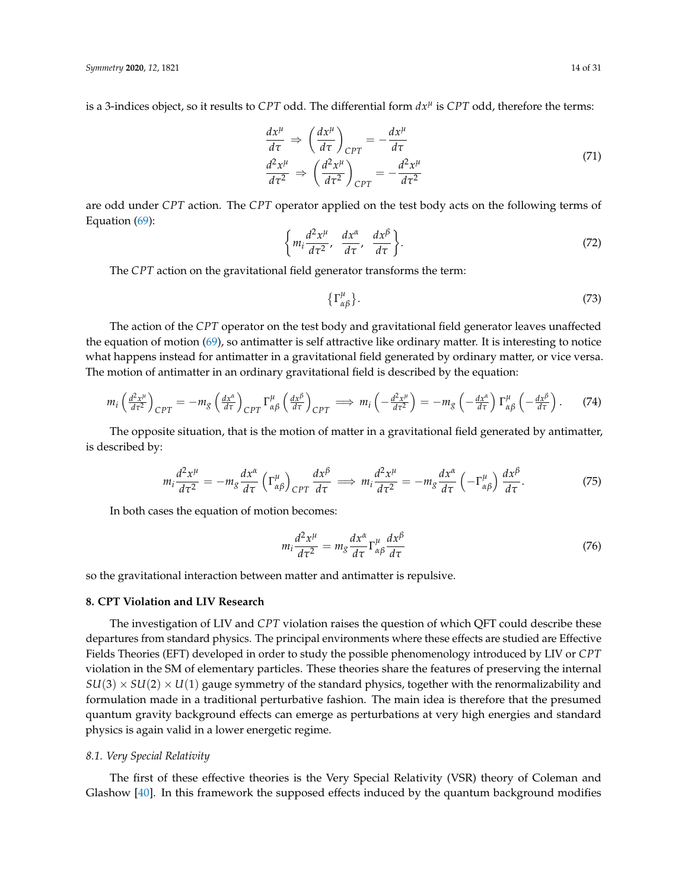is a 3-indices object, so it results to *CPT* odd. The differential form *dx<sup>µ</sup>* is *CPT* odd, therefore the terms:

$$
\frac{dx^{\mu}}{d\tau} \Rightarrow \left(\frac{dx^{\mu}}{d\tau}\right)_{CPT} = -\frac{dx^{\mu}}{d\tau}
$$
\n
$$
\frac{d^2x^{\mu}}{d\tau^2} \Rightarrow \left(\frac{d^2x^{\mu}}{d\tau^2}\right)_{CPT} = -\frac{d^2x^{\mu}}{d\tau^2}
$$
\n(71)

are odd under *CPT* action. The *CPT* operator applied on the test body acts on the following terms of Equation [\(69\)](#page-12-0):

$$
\left\{ m_i \frac{d^2 x^\mu}{d\tau^2}, \frac{dx^\alpha}{d\tau}, \frac{dx^\beta}{d\tau} \right\}.
$$
 (72)

The *CPT* action on the gravitational field generator transforms the term:

$$
\left\{\Gamma^{\mu}_{\alpha\beta}\right\}.\tag{73}
$$

The action of the *CPT* operator on the test body and gravitational field generator leaves unaffected the equation of motion [\(69\)](#page-12-0), so antimatter is self attractive like ordinary matter. It is interesting to notice what happens instead for antimatter in a gravitational field generated by ordinary matter, or vice versa. The motion of antimatter in an ordinary gravitational field is described by the equation:

$$
m_i \left(\frac{d^2 x^\mu}{d\tau^2}\right)_{CPT} = -m_g \left(\frac{dx^\alpha}{d\tau}\right)_{CPT} \Gamma_{\alpha\beta}^{\mu} \left(\frac{dx^\beta}{d\tau}\right)_{CPT} \implies m_i \left(-\frac{d^2 x^\mu}{d\tau^2}\right) = -m_g \left(-\frac{dx^\alpha}{d\tau}\right) \Gamma_{\alpha\beta}^{\mu} \left(-\frac{dx^\beta}{d\tau}\right). \tag{74}
$$

The opposite situation, that is the motion of matter in a gravitational field generated by antimatter, is described by:

$$
m_i \frac{d^2 x^\mu}{d\tau^2} = -m_g \frac{dx^\alpha}{d\tau} \left(\Gamma^\mu_{\alpha\beta}\right)_{CPT} \frac{dx^\beta}{d\tau} \implies m_i \frac{d^2 x^\mu}{d\tau^2} = -m_g \frac{dx^\alpha}{d\tau} \left(-\Gamma^\mu_{\alpha\beta}\right) \frac{dx^\beta}{d\tau}.\tag{75}
$$

In both cases the equation of motion becomes:

$$
m_i \frac{d^2 x^\mu}{d\tau^2} = m_g \frac{dx^\alpha}{d\tau} \Gamma^\mu_{\alpha\beta} \frac{dx^\beta}{d\tau}
$$
 (76)

so the gravitational interaction between matter and antimatter is repulsive.

## **8. CPT Violation and LIV Research**

The investigation of LIV and *CPT* violation raises the question of which QFT could describe these departures from standard physics. The principal environments where these effects are studied are Effective Fields Theories (EFT) developed in order to study the possible phenomenology introduced by LIV or *CPT* violation in the SM of elementary particles. These theories share the features of preserving the internal  $SU(3) \times SU(2) \times U(1)$  gauge symmetry of the standard physics, together with the renormalizability and formulation made in a traditional perturbative fashion. The main idea is therefore that the presumed quantum gravity background effects can emerge as perturbations at very high energies and standard physics is again valid in a lower energetic regime.

#### *8.1. Very Special Relativity*

The first of these effective theories is the Very Special Relativity (VSR) theory of Coleman and Glashow [\[40\]](#page-26-11). In this framework the supposed effects induced by the quantum background modifies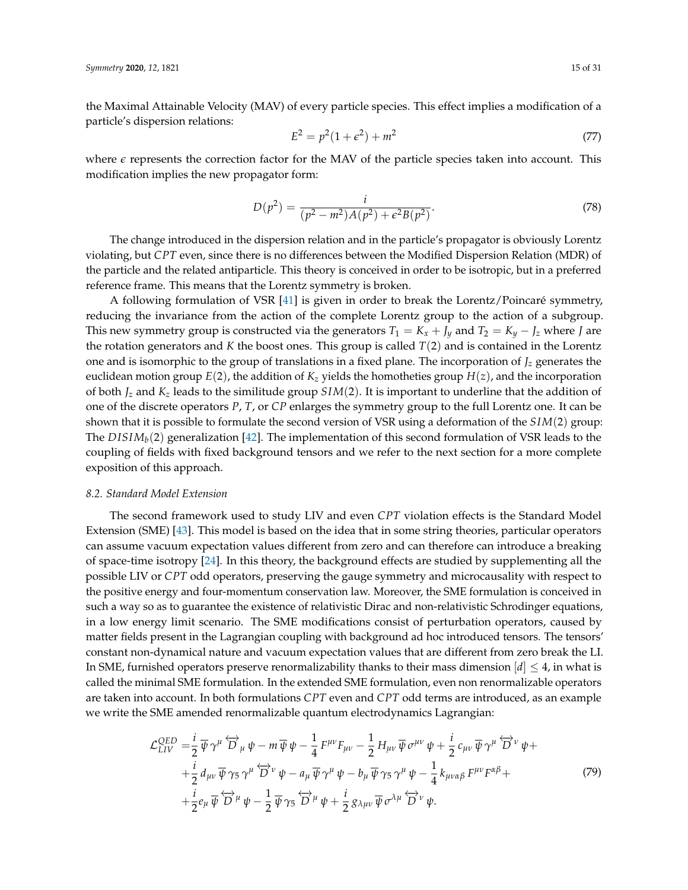the Maximal Attainable Velocity (MAV) of every particle species. This effect implies a modification of a particle's dispersion relations:

$$
E^2 = p^2(1 + \epsilon^2) + m^2
$$
 (77)

where  $\epsilon$  represents the correction factor for the MAV of the particle species taken into account. This modification implies the new propagator form:

$$
D(p^2) = \frac{i}{(p^2 - m^2)A(p^2) + \epsilon^2 B(p^2)}.
$$
\n(78)

The change introduced in the dispersion relation and in the particle's propagator is obviously Lorentz violating, but *CPT* even, since there is no differences between the Modified Dispersion Relation (MDR) of the particle and the related antiparticle. This theory is conceived in order to be isotropic, but in a preferred reference frame. This means that the Lorentz symmetry is broken.

A following formulation of VSR [\[41\]](#page-26-12) is given in order to break the Lorentz/Poincaré symmetry, reducing the invariance from the action of the complete Lorentz group to the action of a subgroup. This new symmetry group is constructed via the generators  $T_1 = K_x + J_y$  and  $T_2 = K_y - J_z$  where *J* are the rotation generators and *K* the boost ones. This group is called *T*(2) and is contained in the Lorentz one and is isomorphic to the group of translations in a fixed plane. The incorporation of *J<sup>z</sup>* generates the euclidean motion group  $E(2)$ , the addition of  $K_z$  yields the homotheties group  $H(z)$ , and the incorporation of both *J<sup>z</sup>* and *K<sup>z</sup>* leads to the similitude group *SIM*(2). It is important to underline that the addition of one of the discrete operators *P*, *T*, or *CP* enlarges the symmetry group to the full Lorentz one. It can be shown that it is possible to formulate the second version of VSR using a deformation of the *SIM*(2) group: The *D ISIM<sup>b</sup>* (2) generalization [\[42\]](#page-26-13). The implementation of this second formulation of VSR leads to the coupling of fields with fixed background tensors and we refer to the next section for a more complete exposition of this approach.

#### *8.2. Standard Model Extension*

The second framework used to study LIV and even *CPT* violation effects is the Standard Model Extension (SME) [\[43\]](#page-26-14). This model is based on the idea that in some string theories, particular operators can assume vacuum expectation values different from zero and can therefore can introduce a breaking of space-time isotropy [\[24\]](#page-25-20). In this theory, the background effects are studied by supplementing all the possible LIV or *CPT* odd operators, preserving the gauge symmetry and microcausality with respect to the positive energy and four-momentum conservation law. Moreover, the SME formulation is conceived in such a way so as to guarantee the existence of relativistic Dirac and non-relativistic Schrodinger equations, in a low energy limit scenario. The SME modifications consist of perturbation operators, caused by matter fields present in the Lagrangian coupling with background ad hoc introduced tensors. The tensors' constant non-dynamical nature and vacuum expectation values that are different from zero break the LI. In SME, furnished operators preserve renormalizability thanks to their mass dimension  $[d] \leq 4$ , in what is called the minimal SME formulation. In the extended SME formulation, even non renormalizable operators are taken into account. In both formulations *CPT* even and *CPT* odd terms are introduced, as an example we write the SME amended renormalizable quantum electrodynamics Lagrangian:

$$
\mathcal{L}_{LIV}^{QED} = \frac{i}{2} \overline{\psi} \gamma^{\mu} \overleftrightarrow{D}_{\mu} \psi - m \overline{\psi} \psi - \frac{1}{4} F^{\mu \nu} F_{\mu \nu} - \frac{1}{2} H_{\mu \nu} \overline{\psi} \sigma^{\mu \nu} \psi + \frac{i}{2} c_{\mu \nu} \overline{\psi} \gamma^{\mu} \overleftrightarrow{D}^{\nu} \psi + + \frac{i}{2} d_{\mu \nu} \overline{\psi} \gamma_5 \gamma^{\mu} \overleftrightarrow{D}^{\nu} \psi - a_{\mu} \overline{\psi} \gamma^{\mu} \psi - b_{\mu} \overline{\psi} \gamma_5 \gamma^{\mu} \psi - \frac{1}{4} k_{\mu \nu \alpha \beta} F^{\mu \nu} F^{\alpha \beta} + + \frac{i}{2} e_{\mu} \overline{\psi} \overleftrightarrow{D}^{\mu} \psi - \frac{1}{2} \overline{\psi} \gamma_5 \overleftrightarrow{D}^{\mu} \psi + \frac{i}{2} g_{\lambda \mu \nu} \overline{\psi} \sigma^{\lambda \mu} \overleftrightarrow{D}^{\nu} \psi.
$$
\n(79)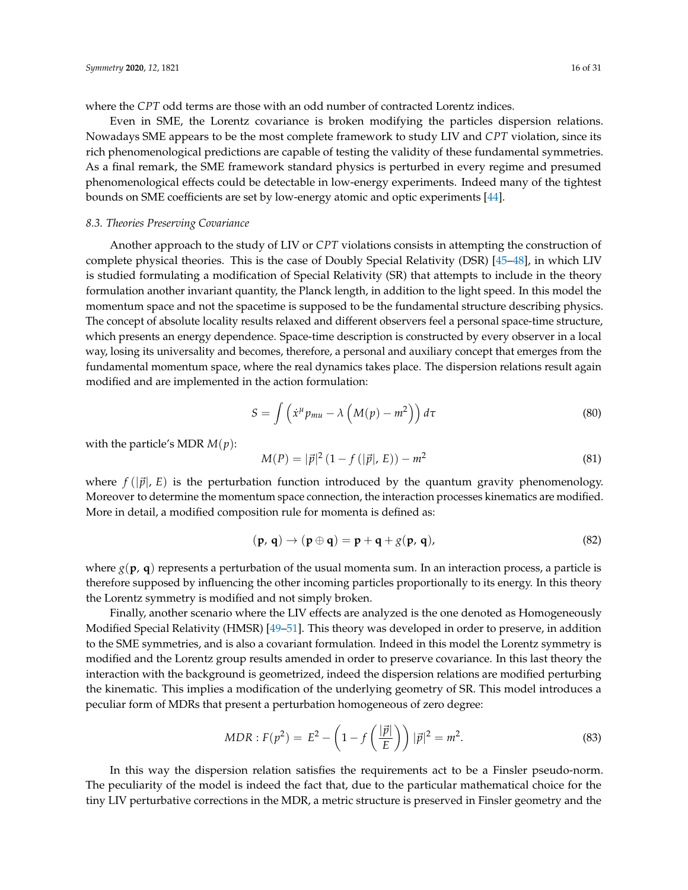where the *CPT* odd terms are those with an odd number of contracted Lorentz indices.

Even in SME, the Lorentz covariance is broken modifying the particles dispersion relations. Nowadays SME appears to be the most complete framework to study LIV and *CPT* violation, since its rich phenomenological predictions are capable of testing the validity of these fundamental symmetries. As a final remark, the SME framework standard physics is perturbed in every regime and presumed phenomenological effects could be detectable in low-energy experiments. Indeed many of the tightest bounds on SME coefficients are set by low-energy atomic and optic experiments [\[44\]](#page-26-15).

## *8.3. Theories Preserving Covariance*

Another approach to the study of LIV or *CPT* violations consists in attempting the construction of complete physical theories. This is the case of Doubly Special Relativity (DSR) [\[45–](#page-26-16)[48\]](#page-26-17), in which LIV is studied formulating a modification of Special Relativity (SR) that attempts to include in the theory formulation another invariant quantity, the Planck length, in addition to the light speed. In this model the momentum space and not the spacetime is supposed to be the fundamental structure describing physics. The concept of absolute locality results relaxed and different observers feel a personal space-time structure, which presents an energy dependence. Space-time description is constructed by every observer in a local way, losing its universality and becomes, therefore, a personal and auxiliary concept that emerges from the fundamental momentum space, where the real dynamics takes place. The dispersion relations result again modified and are implemented in the action formulation:

$$
S = \int \left( \dot{x}^{\mu} p_{mu} - \lambda \left( M(p) - m^2 \right) \right) d\tau \tag{80}
$$

with the particle's MDR *M*(*p*):

$$
M(P) = |\vec{p}|^2 (1 - f(|\vec{p}|, E)) - m^2
$$
\n(81)

where  $f(|\vec{p}|, E)$  is the perturbation function introduced by the quantum gravity phenomenology. Moreover to determine the momentum space connection, the interaction processes kinematics are modified. More in detail, a modified composition rule for momenta is defined as:

$$
(\mathbf{p}, \mathbf{q}) \rightarrow (\mathbf{p} \oplus \mathbf{q}) = \mathbf{p} + \mathbf{q} + g(\mathbf{p}, \mathbf{q}), \tag{82}
$$

where  $g(\mathbf{p}, \mathbf{q})$  represents a perturbation of the usual momenta sum. In an interaction process, a particle is therefore supposed by influencing the other incoming particles proportionally to its energy. In this theory the Lorentz symmetry is modified and not simply broken.

Finally, another scenario where the LIV effects are analyzed is the one denoted as Homogeneously Modified Special Relativity (HMSR) [\[49](#page-26-18)[–51\]](#page-26-19). This theory was developed in order to preserve, in addition to the SME symmetries, and is also a covariant formulation. Indeed in this model the Lorentz symmetry is modified and the Lorentz group results amended in order to preserve covariance. In this last theory the interaction with the background is geometrized, indeed the dispersion relations are modified perturbing the kinematic. This implies a modification of the underlying geometry of SR. This model introduces a peculiar form of MDRs that present a perturbation homogeneous of zero degree:

$$
MDR: F(p^2) = E^2 - \left(1 - f\left(\frac{|\vec{p}|}{E}\right)\right)|\vec{p}|^2 = m^2.
$$
\n
$$
(83)
$$

In this way the dispersion relation satisfies the requirements act to be a Finsler pseudo-norm. The peculiarity of the model is indeed the fact that, due to the particular mathematical choice for the tiny LIV perturbative corrections in the MDR, a metric structure is preserved in Finsler geometry and the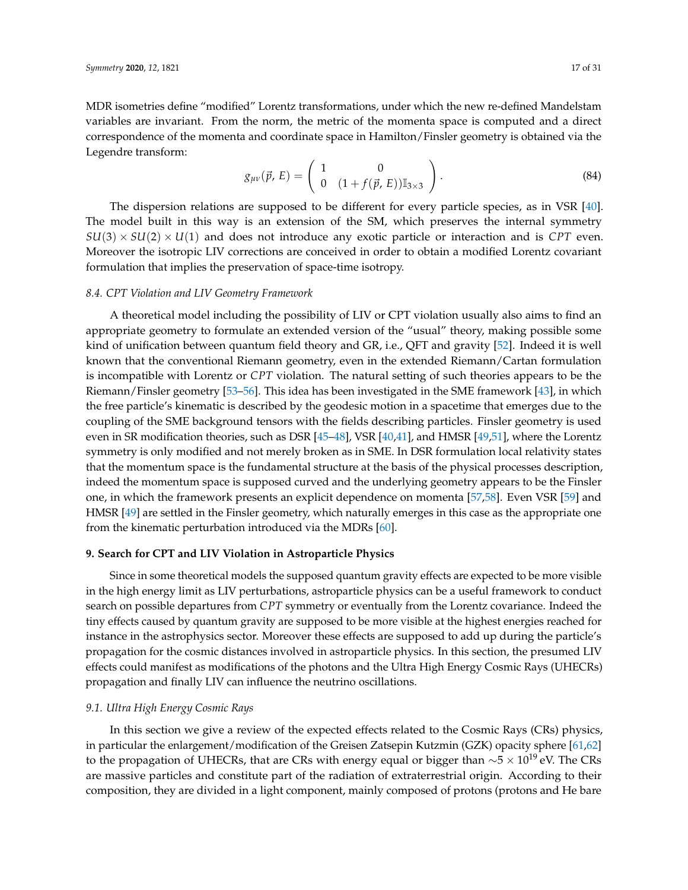MDR isometries define "modified" Lorentz transformations, under which the new re-defined Mandelstam variables are invariant. From the norm, the metric of the momenta space is computed and a direct correspondence of the momenta and coordinate space in Hamilton/Finsler geometry is obtained via the Legendre transform:

$$
g_{\mu\nu}(\vec{p}, E) = \begin{pmatrix} 1 & 0 \\ 0 & (1 + f(\vec{p}, E)) \mathbb{I}_{3 \times 3} \end{pmatrix}.
$$
 (84)

The dispersion relations are supposed to be different for every particle species, as in VSR [\[40\]](#page-26-11). The model built in this way is an extension of the SM, which preserves the internal symmetry  $SU(3) \times SU(2) \times U(1)$  and does not introduce any exotic particle or interaction and is *CPT* even. Moreover the isotropic LIV corrections are conceived in order to obtain a modified Lorentz covariant formulation that implies the preservation of space-time isotropy.

#### *8.4. CPT Violation and LIV Geometry Framework*

A theoretical model including the possibility of LIV or CPT violation usually also aims to find an appropriate geometry to formulate an extended version of the "usual" theory, making possible some kind of unification between quantum field theory and GR, i.e., QFT and gravity [\[52\]](#page-26-20). Indeed it is well known that the conventional Riemann geometry, even in the extended Riemann/Cartan formulation is incompatible with Lorentz or *CPT* violation. The natural setting of such theories appears to be the Riemann/Finsler geometry [\[53–](#page-26-21)[56\]](#page-26-22). This idea has been investigated in the SME framework [\[43\]](#page-26-14), in which the free particle's kinematic is described by the geodesic motion in a spacetime that emerges due to the coupling of the SME background tensors with the fields describing particles. Finsler geometry is used even in SR modification theories, such as DSR [\[45](#page-26-16)[–48\]](#page-26-17), VSR [\[40,](#page-26-11)[41\]](#page-26-12), and HMSR [\[49,](#page-26-18)[51\]](#page-26-19), where the Lorentz symmetry is only modified and not merely broken as in SME. In DSR formulation local relativity states that the momentum space is the fundamental structure at the basis of the physical processes description, indeed the momentum space is supposed curved and the underlying geometry appears to be the Finsler one, in which the framework presents an explicit dependence on momenta [\[57,](#page-27-0)[58\]](#page-27-1). Even VSR [\[59\]](#page-27-2) and HMSR [\[49\]](#page-26-18) are settled in the Finsler geometry, which naturally emerges in this case as the appropriate one from the kinematic perturbation introduced via the MDRs [\[60\]](#page-27-3).

#### **9. Search for CPT and LIV Violation in Astroparticle Physics**

Since in some theoretical models the supposed quantum gravity effects are expected to be more visible in the high energy limit as LIV perturbations, astroparticle physics can be a useful framework to conduct search on possible departures from *CPT* symmetry or eventually from the Lorentz covariance. Indeed the tiny effects caused by quantum gravity are supposed to be more visible at the highest energies reached for instance in the astrophysics sector. Moreover these effects are supposed to add up during the particle's propagation for the cosmic distances involved in astroparticle physics. In this section, the presumed LIV effects could manifest as modifications of the photons and the Ultra High Energy Cosmic Rays (UHECRs) propagation and finally LIV can influence the neutrino oscillations.

## *9.1. Ultra High Energy Cosmic Rays*

In this section we give a review of the expected effects related to the Cosmic Rays (CRs) physics, in particular the enlargement/modification of the Greisen Zatsepin Kutzmin (GZK) opacity sphere [\[61](#page-27-4)[,62\]](#page-27-5) to the propagation of UHECRs, that are CRs with energy equal or bigger than  $\sim$ 5 × 10<sup>19</sup> eV. The CRs are massive particles and constitute part of the radiation of extraterrestrial origin. According to their composition, they are divided in a light component, mainly composed of protons (protons and He bare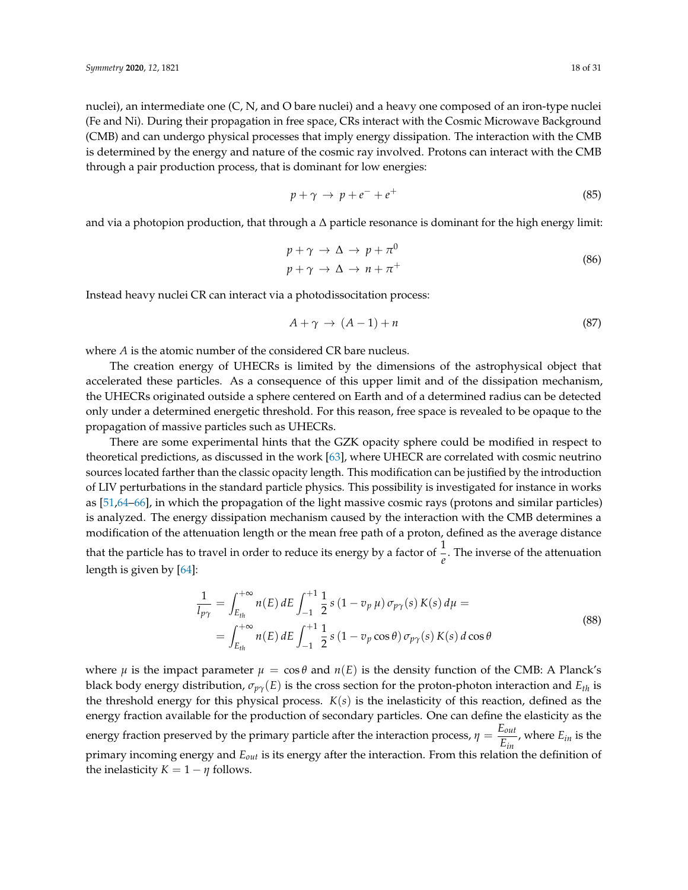nuclei), an intermediate one (C, N, and O bare nuclei) and a heavy one composed of an iron-type nuclei (Fe and Ni). During their propagation in free space, CRs interact with the Cosmic Microwave Background (CMB) and can undergo physical processes that imply energy dissipation. The interaction with the CMB is determined by the energy and nature of the cosmic ray involved. Protons can interact with the CMB through a pair production process, that is dominant for low energies:

$$
p + \gamma \rightarrow p + e^- + e^+ \tag{85}
$$

and via a photopion production, that through a  $\Delta$  particle resonance is dominant for the high energy limit:

$$
p + \gamma \to \Delta \to p + \pi^0
$$
  
\n
$$
p + \gamma \to \Delta \to n + \pi^+
$$
\n(86)

Instead heavy nuclei CR can interact via a photodissocitation process:

$$
A + \gamma \to (A - 1) + n \tag{87}
$$

where *A* is the atomic number of the considered CR bare nucleus.

The creation energy of UHECRs is limited by the dimensions of the astrophysical object that accelerated these particles. As a consequence of this upper limit and of the dissipation mechanism, the UHECRs originated outside a sphere centered on Earth and of a determined radius can be detected only under a determined energetic threshold. For this reason, free space is revealed to be opaque to the propagation of massive particles such as UHECRs.

There are some experimental hints that the GZK opacity sphere could be modified in respect to theoretical predictions, as discussed in the work [\[63\]](#page-27-6), where UHECR are correlated with cosmic neutrino sources located farther than the classic opacity length. This modification can be justified by the introduction of LIV perturbations in the standard particle physics. This possibility is investigated for instance in works as [\[51](#page-26-19)[,64–](#page-27-7)[66\]](#page-27-8), in which the propagation of the light massive cosmic rays (protons and similar particles) is analyzed. The energy dissipation mechanism caused by the interaction with the CMB determines a modification of the attenuation length or the mean free path of a proton, defined as the average distance that the particle has to travel in order to reduce its energy by a factor of  $\frac{1}{e}$ . The inverse of the attenuation length is given by [\[64\]](#page-27-7):

$$
\frac{1}{l_{p\gamma}} = \int_{E_{th}}^{+\infty} n(E) dE \int_{-1}^{+1} \frac{1}{2} s (1 - v_p \mu) \sigma_{p\gamma}(s) K(s) d\mu =
$$
\n
$$
= \int_{E_{th}}^{+\infty} n(E) dE \int_{-1}^{+1} \frac{1}{2} s (1 - v_p \cos \theta) \sigma_{p\gamma}(s) K(s) d\cos \theta
$$
\n(88)

<span id="page-17-0"></span>where  $\mu$  is the impact parameter  $\mu = \cos \theta$  and  $n(E)$  is the density function of the CMB: A Planck's black body energy distribution,  $\sigma_{p\gamma}(E)$  is the cross section for the proton-photon interaction and  $E_{th}$  is the threshold energy for this physical process. *K*(*s*) is the inelasticity of this reaction, defined as the energy fraction available for the production of secondary particles. One can define the elasticity as the energy fraction preserved by the primary particle after the interaction process,  $\eta = \frac{E_{out}}{E}$  $\frac{E_{\textit{on}}}{E_{\textit{in}}}$ , where  $E_{\textit{in}}$  is the primary incoming energy and *Eout* is its energy after the interaction. From this relation the definition of the inelasticity  $K = 1 - \eta$  follows.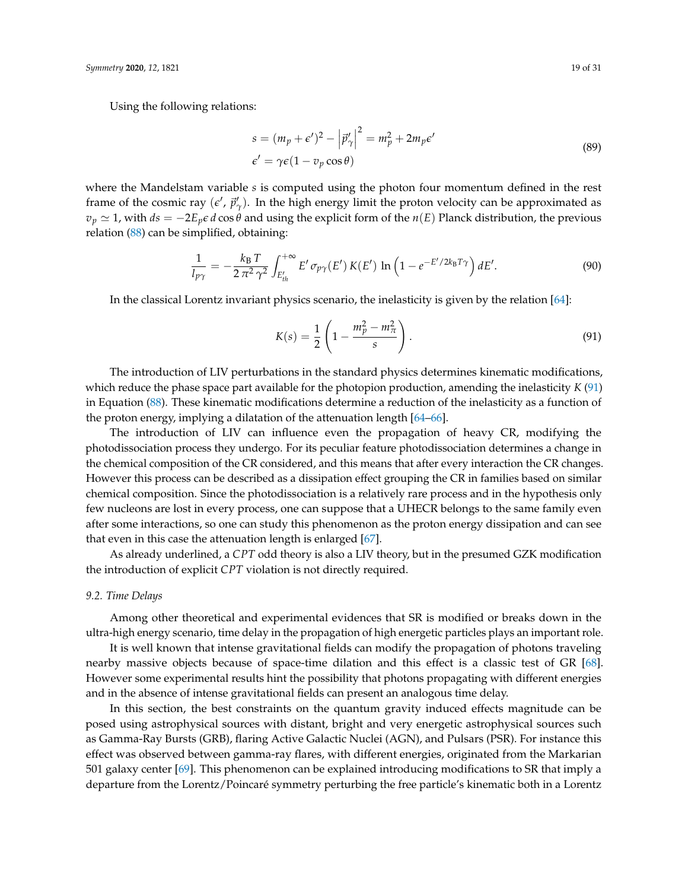Using the following relations:

$$
s = (m_p + \epsilon')^2 - |\vec{p}'_{\gamma}|^2 = m_p^2 + 2m_p\epsilon'
$$
  
\n
$$
\epsilon' = \gamma \epsilon (1 - v_p \cos \theta)
$$
\n(89)

where the Mandelstam variable *s* is computed using the photon four momentum defined in the rest frame of the cosmic ray  $(\epsilon', \vec{p}'_{\gamma})$ . In the high energy limit the proton velocity can be approximated as  $v_p \simeq 1$ , with  $ds = -2E_p \epsilon d \cos \theta$  and using the explicit form of the *n*(*E*) Planck distribution, the previous relation [\(88\)](#page-17-0) can be simplified, obtaining:

$$
\frac{1}{l_{p\gamma}} = -\frac{k_{\rm B}T}{2\pi^2\gamma^2} \int_{E'_{th}}^{+\infty} E' \,\sigma_{p\gamma}(E') \, K(E') \, \ln\left(1 - e^{-E'/2k_{\rm B}T\gamma}\right) dE'.\tag{90}
$$

In the classical Lorentz invariant physics scenario, the inelasticity is given by the relation [\[64\]](#page-27-7):

<span id="page-18-0"></span>
$$
K(s) = \frac{1}{2} \left( 1 - \frac{m_p^2 - m_\pi^2}{s} \right).
$$
 (91)

The introduction of LIV perturbations in the standard physics determines kinematic modifications, which reduce the phase space part available for the photopion production, amending the inelasticity *K* [\(91\)](#page-18-0) in Equation [\(88\)](#page-17-0). These kinematic modifications determine a reduction of the inelasticity as a function of the proton energy, implying a dilatation of the attenuation length [\[64–](#page-27-7)[66\]](#page-27-8).

The introduction of LIV can influence even the propagation of heavy CR, modifying the photodissociation process they undergo. For its peculiar feature photodissociation determines a change in the chemical composition of the CR considered, and this means that after every interaction the CR changes. However this process can be described as a dissipation effect grouping the CR in families based on similar chemical composition. Since the photodissociation is a relatively rare process and in the hypothesis only few nucleons are lost in every process, one can suppose that a UHECR belongs to the same family even after some interactions, so one can study this phenomenon as the proton energy dissipation and can see that even in this case the attenuation length is enlarged [\[67\]](#page-27-9).

As already underlined, a *CPT* odd theory is also a LIV theory, but in the presumed GZK modification the introduction of explicit *CPT* violation is not directly required.

#### *9.2. Time Delays*

Among other theoretical and experimental evidences that SR is modified or breaks down in the ultra-high energy scenario, time delay in the propagation of high energetic particles plays an important role.

It is well known that intense gravitational fields can modify the propagation of photons traveling nearby massive objects because of space-time dilation and this effect is a classic test of GR [\[68\]](#page-27-10). However some experimental results hint the possibility that photons propagating with different energies and in the absence of intense gravitational fields can present an analogous time delay.

In this section, the best constraints on the quantum gravity induced effects magnitude can be posed using astrophysical sources with distant, bright and very energetic astrophysical sources such as Gamma-Ray Bursts (GRB), flaring Active Galactic Nuclei (AGN), and Pulsars (PSR). For instance this effect was observed between gamma-ray flares, with different energies, originated from the Markarian 501 galaxy center [\[69\]](#page-27-11). This phenomenon can be explained introducing modifications to SR that imply a departure from the Lorentz/Poincaré symmetry perturbing the free particle's kinematic both in a Lorentz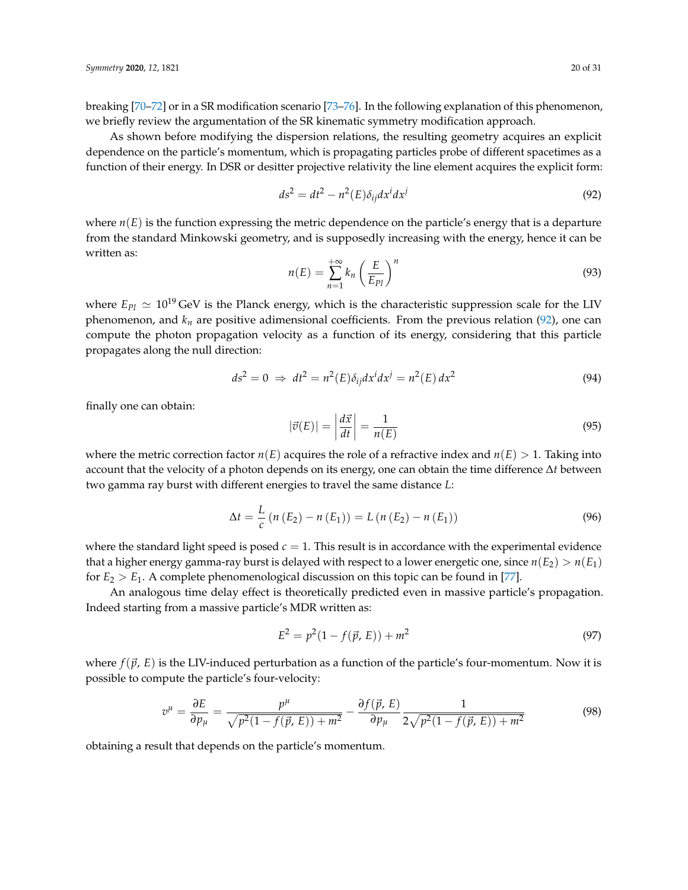breaking [\[70–](#page-27-12)[72\]](#page-27-13) or in a SR modification scenario [\[73](#page-27-14)[–76\]](#page-27-15). In the following explanation of this phenomenon, we briefly review the argumentation of the SR kinematic symmetry modification approach.

As shown before modifying the dispersion relations, the resulting geometry acquires an explicit dependence on the particle's momentum, which is propagating particles probe of different spacetimes as a function of their energy. In DSR or desitter projective relativity the line element acquires the explicit form:

<span id="page-19-0"></span>
$$
ds^2 = dt^2 - n^2(E)\delta_{ij}dx^i dx^j
$$
\n(92)

where  $n(E)$  is the function expressing the metric dependence on the particle's energy that is a departure from the standard Minkowski geometry, and is supposedly increasing with the energy, hence it can be written as:

<span id="page-19-1"></span>
$$
n(E) = \sum_{n=1}^{+\infty} k_n \left(\frac{E}{E_{Pl}}\right)^n \tag{93}
$$

where  $E_{Pl} \simeq 10^{19}$  GeV is the Planck energy, which is the characteristic suppression scale for the LIV phenomenon, and *k<sup>n</sup>* are positive adimensional coefficients. From the previous relation [\(92\)](#page-19-0), one can compute the photon propagation velocity as a function of its energy, considering that this particle propagates along the null direction:

$$
ds^2 = 0 \Rightarrow dt^2 = n^2(E)\delta_{ij}dx^i dx^j = n^2(E) dx^2
$$
\n(94)

finally one can obtain:

$$
|\vec{v}(E)| = \left|\frac{d\vec{x}}{dt}\right| = \frac{1}{n(E)}\tag{95}
$$

where the metric correction factor  $n(E)$  acquires the role of a refractive index and  $n(E) > 1$ . Taking into account that the velocity of a photon depends on its energy, one can obtain the time difference ∆*t* between two gamma ray burst with different energies to travel the same distance *L*:

$$
\Delta t = \frac{L}{c} (n (E_2) - n (E_1)) = L (n (E_2) - n (E_1))
$$
\n(96)

where the standard light speed is posed  $c = 1$ . This result is in accordance with the experimental evidence that a higher energy gamma-ray burst is delayed with respect to a lower energetic one, since  $n(E_2) > n(E_1)$ for  $E_2 > E_1$ . A complete phenomenological discussion on this topic can be found in [\[77\]](#page-27-16).

An analogous time delay effect is theoretically predicted even in massive particle's propagation. Indeed starting from a massive particle's MDR written as:

$$
E^2 = p^2(1 - f(\vec{p}, E)) + m^2
$$
\n(97)

where  $f(\vec{p}, E)$  is the LIV-induced perturbation as a function of the particle's four-momentum. Now it is possible to compute the particle's four-velocity:

$$
v^{\mu} = \frac{\partial E}{\partial p_{\mu}} = \frac{p^{\mu}}{\sqrt{p^2(1 - f(\vec{p}, E)) + m^2}} - \frac{\partial f(\vec{p}, E)}{\partial p_{\mu}} \frac{1}{2\sqrt{p^2(1 - f(\vec{p}, E)) + m^2}}
$$
(98)

obtaining a result that depends on the particle's momentum.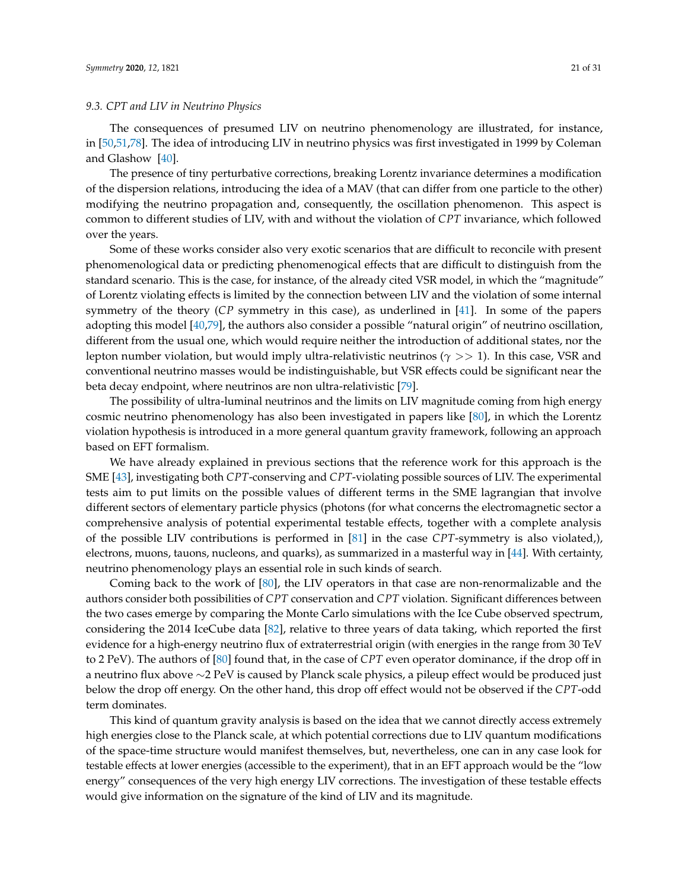#### *9.3. CPT and LIV in Neutrino Physics*

The consequences of presumed LIV on neutrino phenomenology are illustrated, for instance, in [\[50](#page-26-23)[,51](#page-26-19)[,78\]](#page-27-17). The idea of introducing LIV in neutrino physics was first investigated in 1999 by Coleman and Glashow [\[40\]](#page-26-11).

The presence of tiny perturbative corrections, breaking Lorentz invariance determines a modification of the dispersion relations, introducing the idea of a MAV (that can differ from one particle to the other) modifying the neutrino propagation and, consequently, the oscillation phenomenon. This aspect is common to different studies of LIV, with and without the violation of *CPT* invariance, which followed over the years.

Some of these works consider also very exotic scenarios that are difficult to reconcile with present phenomenological data or predicting phenomenogical effects that are difficult to distinguish from the standard scenario. This is the case, for instance, of the already cited VSR model, in which the "magnitude" of Lorentz violating effects is limited by the connection between LIV and the violation of some internal symmetry of the theory (*CP* symmetry in this case), as underlined in [\[41\]](#page-26-12). In some of the papers adopting this model [\[40,](#page-26-11)[79\]](#page-27-18), the authors also consider a possible "natural origin" of neutrino oscillation, different from the usual one, which would require neither the introduction of additional states, nor the lepton number violation, but would imply ultra-relativistic neutrinos (*γ* >> 1). In this case, VSR and conventional neutrino masses would be indistinguishable, but VSR effects could be significant near the beta decay endpoint, where neutrinos are non ultra-relativistic [\[79\]](#page-27-18).

The possibility of ultra-luminal neutrinos and the limits on LIV magnitude coming from high energy cosmic neutrino phenomenology has also been investigated in papers like [\[80\]](#page-27-19), in which the Lorentz violation hypothesis is introduced in a more general quantum gravity framework, following an approach based on EFT formalism.

We have already explained in previous sections that the reference work for this approach is the SME [\[43\]](#page-26-14), investigating both *CPT*-conserving and *CPT*-violating possible sources of LIV. The experimental tests aim to put limits on the possible values of different terms in the SME lagrangian that involve different sectors of elementary particle physics (photons (for what concerns the electromagnetic sector a comprehensive analysis of potential experimental testable effects, together with a complete analysis of the possible LIV contributions is performed in [\[81\]](#page-27-20) in the case *CPT*-symmetry is also violated,), electrons, muons, tauons, nucleons, and quarks), as summarized in a masterful way in [\[44\]](#page-26-15). With certainty, neutrino phenomenology plays an essential role in such kinds of search.

Coming back to the work of [\[80\]](#page-27-19), the LIV operators in that case are non-renormalizable and the authors consider both possibilities of *CPT* conservation and *CPT* violation. Significant differences between the two cases emerge by comparing the Monte Carlo simulations with the Ice Cube observed spectrum, considering the 2014 IceCube data [\[82\]](#page-27-21), relative to three years of data taking, which reported the first evidence for a high-energy neutrino flux of extraterrestrial origin (with energies in the range from 30 TeV to 2 PeV). The authors of [\[80\]](#page-27-19) found that, in the case of *CPT* even operator dominance, if the drop off in a neutrino flux above ∼2 PeV is caused by Planck scale physics, a pileup effect would be produced just below the drop off energy. On the other hand, this drop off effect would not be observed if the *CPT*-odd term dominates.

This kind of quantum gravity analysis is based on the idea that we cannot directly access extremely high energies close to the Planck scale, at which potential corrections due to LIV quantum modifications of the space-time structure would manifest themselves, but, nevertheless, one can in any case look for testable effects at lower energies (accessible to the experiment), that in an EFT approach would be the "low energy" consequences of the very high energy LIV corrections. The investigation of these testable effects would give information on the signature of the kind of LIV and its magnitude.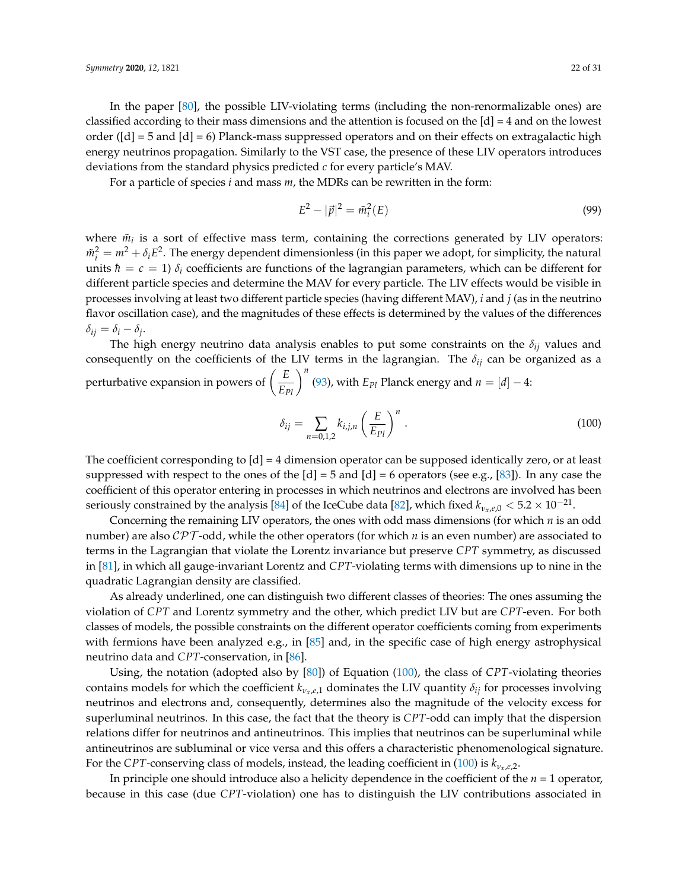In the paper [\[80\]](#page-27-19), the possible LIV-violating terms (including the non-renormalizable ones) are classified according to their mass dimensions and the attention is focused on the  $[d] = 4$  and on the lowest order ([d] = 5 and [d] = 6) Planck-mass suppressed operators and on their effects on extragalactic high energy neutrinos propagation. Similarly to the VST case, the presence of these LIV operators introduces deviations from the standard physics predicted *c* for every particle's MAV.

For a particle of species *i* and mass *m*, the MDRs can be rewritten in the form:

$$
E^2 - |\vec{p}|^2 = \tilde{m}_i^2(E)
$$
 (99)

where  $\tilde{m}_i$  is a sort of effective mass term, containing the corrections generated by LIV operators:  $\tilde{m}_i^2 = m^2 + \delta_i E^2$ . The energy dependent dimensionless (in this paper we adopt, for simplicity, the natural units  $\hbar = c = 1$ )  $\delta_i$  coefficients are functions of the lagrangian parameters, which can be different for different particle species and determine the MAV for every particle. The LIV effects would be visible in processes involving at least two different particle species (having different MAV), *i* and *j* (as in the neutrino flavor oscillation case), and the magnitudes of these effects is determined by the values of the differences  $\delta_{ij} = \delta_i - \delta_j$ .

The high energy neutrino data analysis enables to put some constraints on the  $\delta_{ij}$  values and consequently on the coefficients of the LIV terms in the lagrangian. The *δij* can be organized as a perturbative expansion in powers of  $\left(\frac{E}{E_{Pl}}\right)^n$  [\(93\)](#page-19-1), with  $E_{Pl}$  Planck energy and  $n = [d] - 4$ :

<span id="page-21-0"></span>
$$
\delta_{ij} = \sum_{n=0,1,2} k_{i,j,n} \left(\frac{E}{E_{Pl}}\right)^n.
$$
 (100)

The coefficient corresponding to [d] = 4 dimension operator can be supposed identically zero, or at least suppressed with respect to the ones of the  $[d] = 5$  and  $[d] = 6$  operators (see e.g., [\[83\]](#page-28-0)). In any case the coefficient of this operator entering in processes in which neutrinos and electrons are involved has been seriously constrained by the analysis [\[84\]](#page-28-1) of the IceCube data [\[82\]](#page-27-21), which fixed  $k_{\nu_x,\ell,0} < 5.2 \times 10^{-21}$ .

Concerning the remaining LIV operators, the ones with odd mass dimensions (for which *n* is an odd number) are also CPT -odd, while the other operators (for which *n* is an even number) are associated to terms in the Lagrangian that violate the Lorentz invariance but preserve *CPT* symmetry, as discussed in [\[81\]](#page-27-20), in which all gauge-invariant Lorentz and *CPT*-violating terms with dimensions up to nine in the quadratic Lagrangian density are classified.

As already underlined, one can distinguish two different classes of theories: The ones assuming the violation of *CPT* and Lorentz symmetry and the other, which predict LIV but are *CPT*-even. For both classes of models, the possible constraints on the different operator coefficients coming from experiments with fermions have been analyzed e.g., in [\[85\]](#page-28-2) and, in the specific case of high energy astrophysical neutrino data and *CPT*-conservation, in [\[86\]](#page-28-3).

Using, the notation (adopted also by [\[80\]](#page-27-19)) of Equation [\(100\)](#page-21-0), the class of *CPT*-violating theories contains models for which the coefficient  $k_{v_x,e,1}$  dominates the LIV quantity  $\delta_{ij}$  for processes involving neutrinos and electrons and, consequently, determines also the magnitude of the velocity excess for superluminal neutrinos. In this case, the fact that the theory is *CPT*-odd can imply that the dispersion relations differ for neutrinos and antineutrinos. This implies that neutrinos can be superluminal while antineutrinos are subluminal or vice versa and this offers a characteristic phenomenological signature. For the *CPT*-conserving class of models, instead, the leading coefficient in [\(100\)](#page-21-0) is *kνx*,*e*,2.

In principle one should introduce also a helicity dependence in the coefficient of the *n* = 1 operator, because in this case (due *CPT*-violation) one has to distinguish the LIV contributions associated in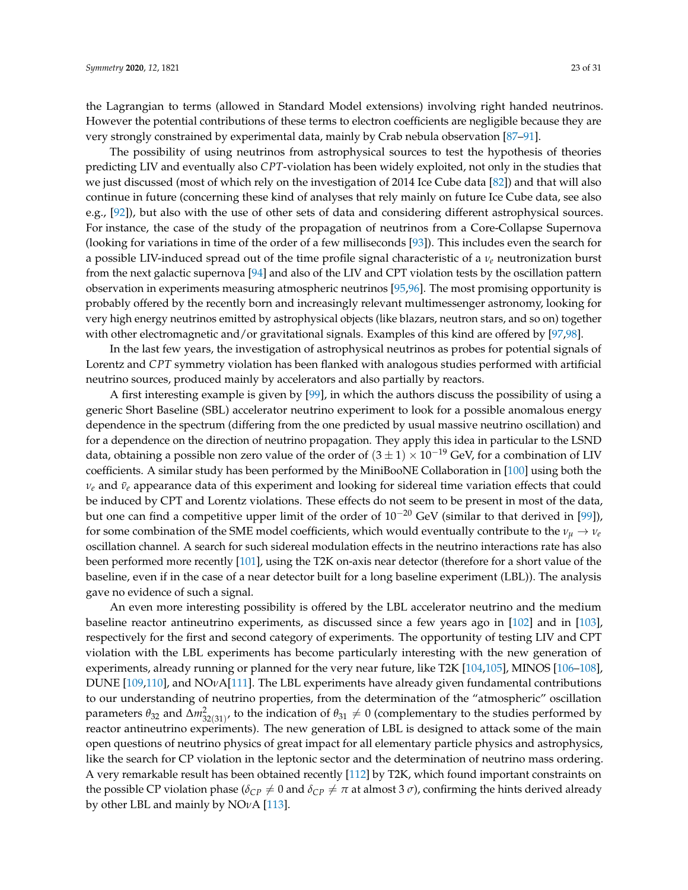the Lagrangian to terms (allowed in Standard Model extensions) involving right handed neutrinos. However the potential contributions of these terms to electron coefficients are negligible because they are very strongly constrained by experimental data, mainly by Crab nebula observation [\[87–](#page-28-4)[91\]](#page-28-5).

The possibility of using neutrinos from astrophysical sources to test the hypothesis of theories predicting LIV and eventually also *CPT*-violation has been widely exploited, not only in the studies that we just discussed (most of which rely on the investigation of 2014 Ice Cube data [\[82\]](#page-27-21)) and that will also continue in future (concerning these kind of analyses that rely mainly on future Ice Cube data, see also e.g., [\[92\]](#page-28-6)), but also with the use of other sets of data and considering different astrophysical sources. For instance, the case of the study of the propagation of neutrinos from a Core-Collapse Supernova (looking for variations in time of the order of a few milliseconds [\[93\]](#page-28-7)). This includes even the search for a possible LIV-induced spread out of the time profile signal characteristic of a *ν<sup>e</sup>* neutronization burst from the next galactic supernova [\[94\]](#page-28-8) and also of the LIV and CPT violation tests by the oscillation pattern observation in experiments measuring atmospheric neutrinos [\[95,](#page-28-9)[96\]](#page-28-10). The most promising opportunity is probably offered by the recently born and increasingly relevant multimessenger astronomy, looking for very high energy neutrinos emitted by astrophysical objects (like blazars, neutron stars, and so on) together with other electromagnetic and/or gravitational signals. Examples of this kind are offered by [\[97](#page-28-11)[,98\]](#page-28-12).

In the last few years, the investigation of astrophysical neutrinos as probes for potential signals of Lorentz and *CPT* symmetry violation has been flanked with analogous studies performed with artificial neutrino sources, produced mainly by accelerators and also partially by reactors.

A first interesting example is given by [\[99\]](#page-28-13), in which the authors discuss the possibility of using a generic Short Baseline (SBL) accelerator neutrino experiment to look for a possible anomalous energy dependence in the spectrum (differing from the one predicted by usual massive neutrino oscillation) and for a dependence on the direction of neutrino propagation. They apply this idea in particular to the LSND data, obtaining a possible non zero value of the order of  $(3 \pm 1) \times 10^{-19}$  GeV, for a combination of LIV coefficients. A similar study has been performed by the MiniBooNE Collaboration in [\[100\]](#page-28-14) using both the  $\nu_e$  and  $\bar{\nu}_e$  appearance data of this experiment and looking for sidereal time variation effects that could be induced by CPT and Lorentz violations. These effects do not seem to be present in most of the data, but one can find a competitive upper limit of the order of  $10^{-20}$  GeV (similar to that derived in [\[99\]](#page-28-13)), for some combination of the SME model coefficients, which would eventually contribute to the  $v_\mu \to v_e$ oscillation channel. A search for such sidereal modulation effects in the neutrino interactions rate has also been performed more recently [\[101\]](#page-28-15), using the T2K on-axis near detector (therefore for a short value of the baseline, even if in the case of a near detector built for a long baseline experiment (LBL)). The analysis gave no evidence of such a signal.

An even more interesting possibility is offered by the LBL accelerator neutrino and the medium baseline reactor antineutrino experiments, as discussed since a few years ago in [\[102\]](#page-28-16) and in [\[103\]](#page-28-17), respectively for the first and second category of experiments. The opportunity of testing LIV and CPT violation with the LBL experiments has become particularly interesting with the new generation of experiments, already running or planned for the very near future, like T2K [\[104,](#page-28-18)[105\]](#page-28-19), MINOS [\[106–](#page-28-20)[108\]](#page-29-0), DUNE [\[109,](#page-29-1)[110\]](#page-29-2), and NO*ν*A[\[111\]](#page-29-3). The LBL experiments have already given fundamental contributions to our understanding of neutrino properties, from the determination of the "atmospheric" oscillation parameters  $\theta_{32}$  and  $\Delta m^2_{32(31)}$ , to the indication of  $\theta_{31}\neq 0$  (complementary to the studies performed by reactor antineutrino experiments). The new generation of LBL is designed to attack some of the main open questions of neutrino physics of great impact for all elementary particle physics and astrophysics, like the search for CP violation in the leptonic sector and the determination of neutrino mass ordering. A very remarkable result has been obtained recently [\[112\]](#page-29-4) by T2K, which found important constraints on the possible CP violation phase ( $\delta_{CP} \neq 0$  and  $\delta_{CP} \neq \pi$  at almost 3  $\sigma$ ), confirming the hints derived already by other LBL and mainly by NO*ν*A [\[113\]](#page-29-5).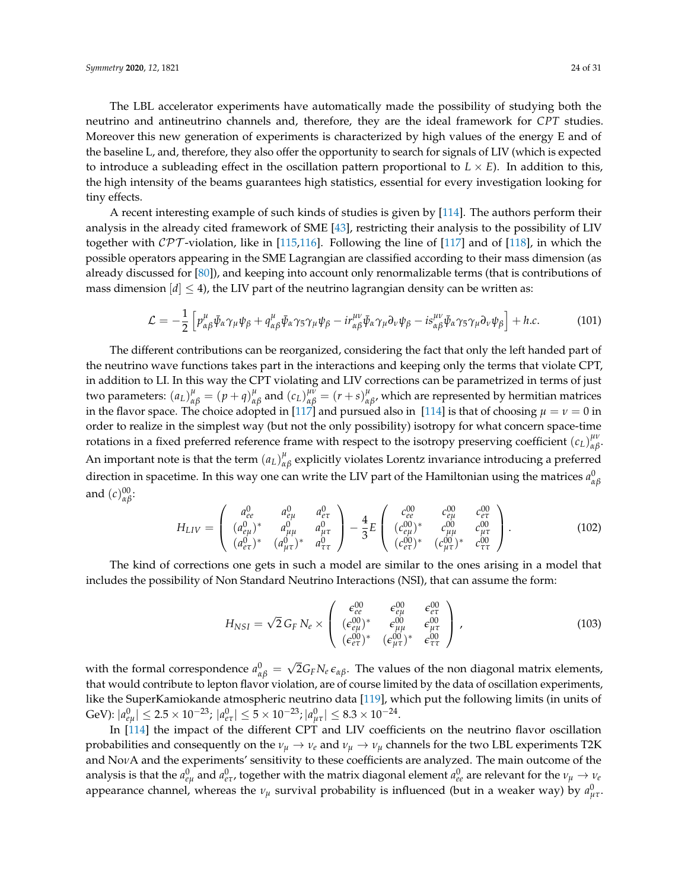The LBL accelerator experiments have automatically made the possibility of studying both the neutrino and antineutrino channels and, therefore, they are the ideal framework for *CPT* studies. Moreover this new generation of experiments is characterized by high values of the energy E and of the baseline L, and, therefore, they also offer the opportunity to search for signals of LIV (which is expected to introduce a subleading effect in the oscillation pattern proportional to  $L \times E$ ). In addition to this, the high intensity of the beams guarantees high statistics, essential for every investigation looking for tiny effects.

A recent interesting example of such kinds of studies is given by [\[114\]](#page-29-6). The authors perform their analysis in the already cited framework of SME [\[43\]](#page-26-14), restricting their analysis to the possibility of LIV together with  $\mathcal{CPT}$ -violation, like in [\[115](#page-29-7)[,116\]](#page-29-8). Following the line of [\[117\]](#page-29-9) and of [\[118\]](#page-29-10), in which the possible operators appearing in the SME Lagrangian are classified according to their mass dimension (as already discussed for [\[80\]](#page-27-19)), and keeping into account only renormalizable terms (that is contributions of mass dimension  $[d] \leq 4$ ), the LIV part of the neutrino lagrangian density can be written as:

$$
\mathcal{L} = -\frac{1}{2} \left[ p_{\alpha\beta}^{\mu} \bar{\psi}_{\alpha} \gamma_{\mu} \psi_{\beta} + q_{\alpha\beta}^{\mu} \bar{\psi}_{\alpha} \gamma_{5} \gamma_{\mu} \psi_{\beta} - i r_{\alpha\beta}^{\mu\nu} \bar{\psi}_{\alpha} \gamma_{\mu} \partial_{\nu} \psi_{\beta} - i s_{\alpha\beta}^{\mu\nu} \bar{\psi}_{\alpha} \gamma_{5} \gamma_{\mu} \partial_{\nu} \psi_{\beta} \right] + h.c.
$$
 (101)

The different contributions can be reorganized, considering the fact that only the left handed part of the neutrino wave functions takes part in the interactions and keeping only the terms that violate CPT, in addition to LI. In this way the CPT violating and LIV corrections can be parametrized in terms of just two parameters:  $(a_L)_{\alpha\beta}^{\mu}=(p+q)_{\alpha\beta}^{\mu}$  and  $(c_L)_{\alpha\beta}^{\mu\nu}=(r+s)_{\alpha\beta}^{\mu}$ , which are represented by hermitian matrices in the flavor space. The choice adopted in [\[117\]](#page-29-9) and pursued also in [\[114\]](#page-29-6) is that of choosing  $\mu = \nu = 0$  in order to realize in the simplest way (but not the only possibility) isotropy for what concern space-time rotations in a fixed preferred reference frame with respect to the isotropy preserving coefficient  $(c_L)_{\alpha\beta}^{\mu\nu}$ . An important note is that the term  $(a_L)_{\alpha\beta}^{\mu}$  explicitly violates Lorentz invariance introducing a preferred direction in spacetime. In this way one can write the LIV part of the Hamiltonian using the matrices  $a_{\alpha\beta}^0$ and  $(c)_{\alpha\beta}^{00}$ :

$$
H_{LIV} = \begin{pmatrix} a_{ee}^0 & a_{e\mu}^0 & a_{e\tau}^0 \\ (a_{e\mu}^0)^* & a_{\mu\mu}^0 & a_{\mu\tau}^0 \\ (a_{e\tau}^0)^* & (a_{\mu\tau}^0)^* & a_{\tau\tau}^0 \end{pmatrix} - \frac{4}{3} E \begin{pmatrix} c_{ee}^{00} & c_{e\mu}^{00} & c_{e\tau}^{00} \\ (c_{e\mu}^{00})^* & c_{\mu\mu}^{00} & c_{\mu\tau}^{00} \\ (c_{e\tau}^{00})^* & (c_{\mu\tau}^{00})^* & c_{\tau\tau}^{00} \end{pmatrix} . \tag{102}
$$

The kind of corrections one gets in such a model are similar to the ones arising in a model that includes the possibility of Non Standard Neutrino Interactions (NSI), that can assume the form:

$$
H_{NSI} = \sqrt{2} G_F N_e \times \begin{pmatrix} \epsilon_{ee}^{00} & \epsilon_{e\mu}^{00} & \epsilon_{e\tau}^{00} \\ (\epsilon_{e\mu}^{00})^* & \epsilon_{\mu\mu}^{00} & \epsilon_{\mu\tau}^{00} \\ (\epsilon_{e\tau}^{00})^* & (\epsilon_{\mu\tau}^{00})^* & \epsilon_{\tau\tau}^{00} \end{pmatrix},
$$
(103)

with the formal correspondence  $a_{\alpha\beta}^0 =$ √ 2*GFN<sup>e</sup> eαβ*. The values of the non diagonal matrix elements, that would contribute to lepton flavor violation, are of course limited by the data of oscillation experiments, like the SuperKamiokande atmospheric neutrino data [\[119\]](#page-29-11), which put the following limits (in units of  $|\mathrm{GeV}$ :  $|a_{e\mu}^0| \leq 2.5 \times 10^{-23}$ ;  $|a_{e\tau}^0| \leq 5 \times 10^{-23}$ ;  $|a_{\mu\tau}^0| \leq 8.3 \times 10^{-24}$ .

In [\[114\]](#page-29-6) the impact of the different CPT and LIV coefficients on the neutrino flavor oscillation probabilities and consequently on the  $\nu_\mu \to \nu_e$  and  $\nu_\mu \to \nu_\mu$  channels for the two LBL experiments T2K and No*ν*A and the experiments' sensitivity to these coefficients are analyzed. The main outcome of the analysis is that the  $a_{e\mu}^0$  and  $a_{e\tau}^0$ , together with the matrix diagonal element  $a_{ee}^0$  are relevant for the  $\nu_\mu\to\nu_e$ appearance channel, whereas the *ν*<sub>*µ*</sub> survival probability is influenced (but in a weaker way) by  $a_{\mu\tau}^0$ .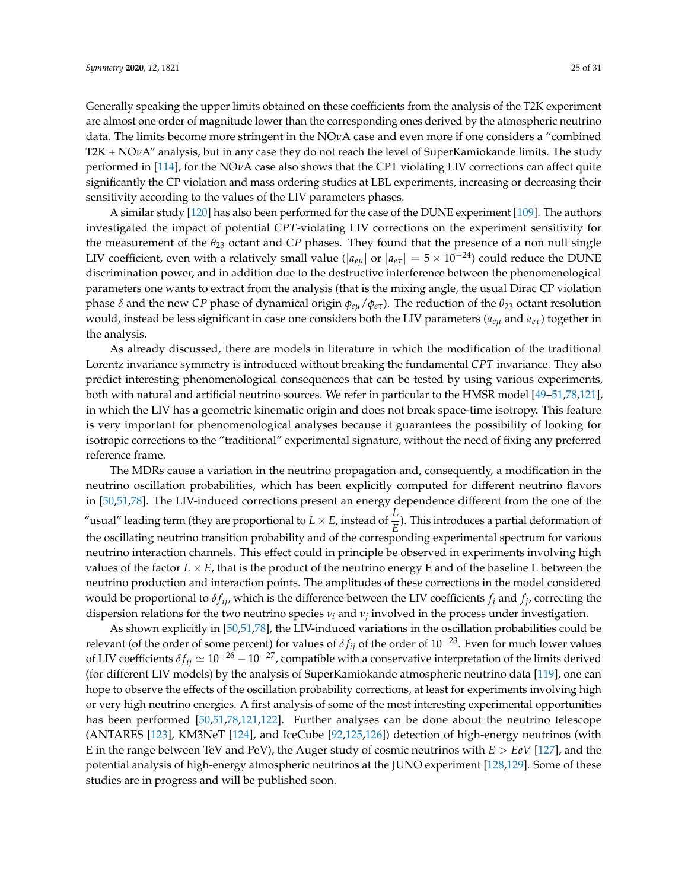Generally speaking the upper limits obtained on these coefficients from the analysis of the T2K experiment are almost one order of magnitude lower than the corresponding ones derived by the atmospheric neutrino data. The limits become more stringent in the NO*ν*A case and even more if one considers a "combined T2K + NO*ν*A" analysis, but in any case they do not reach the level of SuperKamiokande limits. The study performed in [\[114\]](#page-29-6), for the NO*ν*A case also shows that the CPT violating LIV corrections can affect quite significantly the CP violation and mass ordering studies at LBL experiments, increasing or decreasing their sensitivity according to the values of the LIV parameters phases.

A similar study [\[120\]](#page-29-12) has also been performed for the case of the DUNE experiment [\[109\]](#page-29-1). The authors investigated the impact of potential *CPT*-violating LIV corrections on the experiment sensitivity for the measurement of the  $\theta_{23}$  octant and *CP* phases. They found that the presence of a non null single LIV coefficient, even with a relatively small value ( $|a_{e\mu}|$  or  $|a_{e\tau}| = 5 \times 10^{-24}$ ) could reduce the DUNE discrimination power, and in addition due to the destructive interference between the phenomenological parameters one wants to extract from the analysis (that is the mixing angle, the usual Dirac CP violation phase *δ* and the new *CP* phase of dynamical origin *φeµ*/*φeτ*). The reduction of the *θ*<sup>23</sup> octant resolution would, instead be less significant in case one considers both the LIV parameters ( $a_{e\mu}$  and  $a_{e\tau}$ ) together in the analysis.

As already discussed, there are models in literature in which the modification of the traditional Lorentz invariance symmetry is introduced without breaking the fundamental *CPT* invariance. They also predict interesting phenomenological consequences that can be tested by using various experiments, both with natural and artificial neutrino sources. We refer in particular to the HMSR model [\[49](#page-26-18)[–51,](#page-26-19)[78,](#page-27-17)[121\]](#page-29-13), in which the LIV has a geometric kinematic origin and does not break space-time isotropy. This feature is very important for phenomenological analyses because it guarantees the possibility of looking for isotropic corrections to the "traditional" experimental signature, without the need of fixing any preferred reference frame.

The MDRs cause a variation in the neutrino propagation and, consequently, a modification in the neutrino oscillation probabilities, which has been explicitly computed for different neutrino flavors in [\[50,](#page-26-23)[51,](#page-26-19)[78\]](#page-27-17). The LIV-induced corrections present an energy dependence different from the one of the "usual" leading term (they are proportional to  $L \times E$ , instead of  $\frac{L}{E}$ ). This introduces a partial deformation of the oscillating neutrino transition probability and of the corresponding experimental spectrum for various neutrino interaction channels. This effect could in principle be observed in experiments involving high values of the factor *L* × *E*, that is the product of the neutrino energy E and of the baseline L between the neutrino production and interaction points. The amplitudes of these corrections in the model considered would be proportional to  $\delta f_{ij}$ , which is the difference between the LIV coefficients  $f_i$  and  $f_j$ , correcting the dispersion relations for the two neutrino species *ν<sup>i</sup>* and *ν<sup>j</sup>* involved in the process under investigation.

As shown explicitly in [\[50](#page-26-23)[,51](#page-26-19)[,78\]](#page-27-17), the LIV-induced variations in the oscillation probabilities could be relevant (of the order of some percent) for values of  $\delta f_{ij}$  of the order of 10<sup>-23</sup>. Even for much lower values of LIV coefficients  $\delta f_{ij} \simeq 10^{-26} - 10^{-27}$ , compatible with a conservative interpretation of the limits derived (for different LIV models) by the analysis of SuperKamiokande atmospheric neutrino data [\[119\]](#page-29-11), one can hope to observe the effects of the oscillation probability corrections, at least for experiments involving high or very high neutrino energies. A first analysis of some of the most interesting experimental opportunities has been performed [\[50,](#page-26-23)[51,](#page-26-19)[78,](#page-27-17)[121,](#page-29-13)[122\]](#page-29-14). Further analyses can be done about the neutrino telescope (ANTARES [\[123\]](#page-29-15), KM3NeT [\[124\]](#page-29-16), and IceCube [\[92,](#page-28-6)[125,](#page-29-17)[126\]](#page-29-18)) detection of high-energy neutrinos (with E in the range between TeV and PeV), the Auger study of cosmic neutrinos with *E* > *EeV* [\[127\]](#page-29-19), and the potential analysis of high-energy atmospheric neutrinos at the JUNO experiment [\[128,](#page-29-20)[129\]](#page-30-0). Some of these studies are in progress and will be published soon.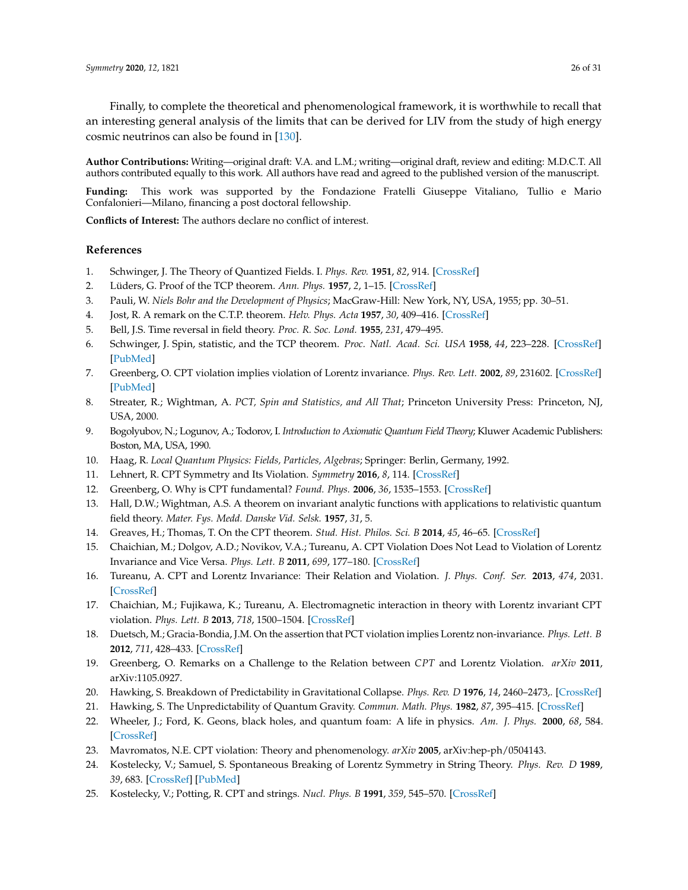Finally, to complete the theoretical and phenomenological framework, it is worthwhile to recall that an interesting general analysis of the limits that can be derived for LIV from the study of high energy cosmic neutrinos can also be found in [\[130\]](#page-30-1).

**Author Contributions:** Writing—original draft: V.A. and L.M.; writing—original draft, review and editing: M.D.C.T. All authors contributed equally to this work. All authors have read and agreed to the published version of the manuscript.

**Funding:** This work was supported by the Fondazione Fratelli Giuseppe Vitaliano, Tullio e Mario Confalonieri—Milano, financing a post doctoral fellowship.

**Conflicts of Interest:** The authors declare no conflict of interest.

## **References**

- <span id="page-25-0"></span>1. Schwinger, J. The Theory of Quantized Fields. I. *Phys. Rev.* **1951**, *82*, 914. [\[CrossRef\]](http://dx.doi.org/10.1103/PhysRev.82.914)
- <span id="page-25-1"></span>2. Lüders, G. Proof of the TCP theorem. *Ann. Phys.* **1957**, *2*, 1–15. [\[CrossRef\]](http://dx.doi.org/10.1016/0003-4916(57)90032-5)
- <span id="page-25-3"></span><span id="page-25-2"></span>3. Pauli, W. *Niels Bohr and the Development of Physics*; MacGraw-Hill: New York, NY, USA, 1955; pp. 30–51.
- <span id="page-25-4"></span>4. Jost, R. A remark on the C.T.P. theorem. *Helv. Phys. Acta* **1957**, *30*, 409–416. [\[CrossRef\]](http://dx.doi.org/10.1098/rspa.1955.0189)
- <span id="page-25-5"></span>5. Bell, J.S. Time reversal in field theory. *Proc. R. Soc. Lond.* **1955**, *231*, 479–495.
- 6. Schwinger, J. Spin, statistic, and the TCP theorem. *Proc. Natl. Acad. Sci. USA* **1958**, *44*, 223–228. [\[CrossRef\]](http://dx.doi.org/10.1073/pnas.44.2.223) [\[PubMed\]](http://www.ncbi.nlm.nih.gov/pubmed/16590172)
- <span id="page-25-6"></span>7. Greenberg, O. CPT violation implies violation of Lorentz invariance. *Phys. Rev. Lett.* **2002**, *89*, 231602. [\[CrossRef\]](http://dx.doi.org/10.1103/PhysRevLett.89.231602) [\[PubMed\]](http://www.ncbi.nlm.nih.gov/pubmed/12484997)
- <span id="page-25-7"></span>8. Streater, R.; Wightman, A. *PCT, Spin and Statistics, and All That*; Princeton University Press: Princeton, NJ, USA, 2000.
- 9. Bogolyubov, N.; Logunov, A.; Todorov, I. *Introduction to Axiomatic Quantum Field Theory*; Kluwer Academic Publishers: Boston, MA, USA, 1990.
- <span id="page-25-8"></span>10. Haag, R. *Local Quantum Physics: Fields, Particles, Algebras*; Springer: Berlin, Germany, 1992.
- <span id="page-25-9"></span>11. Lehnert, R. CPT Symmetry and Its Violation. *Symmetry* **2016**, *8*, 114. [\[CrossRef\]](http://dx.doi.org/10.3390/sym8110114)
- <span id="page-25-11"></span><span id="page-25-10"></span>12. Greenberg, O. Why is CPT fundamental? *Found. Phys.* **2006**, *36*, 1535–1553. [\[CrossRef\]](http://dx.doi.org/10.1007/s10701-006-9070-z)
- 13. Hall, D.W.; Wightman, A.S. A theorem on invariant analytic functions with applications to relativistic quantum field theory. *Mater. Fys. Medd. Danske Vid. Selsk.* **1957**, *31*, 5.
- <span id="page-25-12"></span>14. Greaves, H.; Thomas, T. On the CPT theorem. *Stud. Hist. Philos. Sci. B* **2014**, *45*, 46–65. [\[CrossRef\]](http://dx.doi.org/10.1016/j.shpsb.2013.10.001)
- <span id="page-25-13"></span>15. Chaichian, M.; Dolgov, A.D.; Novikov, V.A.; Tureanu, A. CPT Violation Does Not Lead to Violation of Lorentz Invariance and Vice Versa. *Phys. Lett. B* **2011**, *699*, 177–180. [\[CrossRef\]](http://dx.doi.org/10.1016/j.physletb.2011.03.026)
- <span id="page-25-14"></span>16. Tureanu, A. CPT and Lorentz Invariance: Their Relation and Violation. *J. Phys. Conf. Ser.* **2013**, *474*, 2031. [\[CrossRef\]](http://dx.doi.org/10.1088/1742-6596/474/1/012031)
- 17. Chaichian, M.; Fujikawa, K.; Tureanu, A. Electromagnetic interaction in theory with Lorentz invariant CPT violation. *Phys. Lett. B* **2013**, *718*, 1500–1504. [\[CrossRef\]](http://dx.doi.org/10.1016/j.physletb.2012.12.017)
- 18. Duetsch, M.; Gracia-Bondia, J.M. On the assertion that PCT violation implies Lorentz non-invariance. *Phys. Lett. B* **2012**, *711*, 428–433. [\[CrossRef\]](http://dx.doi.org/10.1016/j.physletb.2012.04.038)
- <span id="page-25-15"></span>19. Greenberg, O. Remarks on a Challenge to the Relation between *CPT* and Lorentz Violation. *arXiv* **2011**, arXiv:1105.0927.
- <span id="page-25-16"></span>20. Hawking, S. Breakdown of Predictability in Gravitational Collapse. *Phys. Rev. D* **1976**, *14*, 2460–2473,. [\[CrossRef\]](http://dx.doi.org/10.1103/PhysRevD.14.2460)
- <span id="page-25-17"></span>21. Hawking, S. The Unpredictability of Quantum Gravity. *Commun. Math. Phys.* **1982**, *87*, 395–415. [\[CrossRef\]](http://dx.doi.org/10.1007/BF01206031)
- <span id="page-25-18"></span>22. Wheeler, J.; Ford, K. Geons, black holes, and quantum foam: A life in physics. *Am. J. Phys.* **2000**, *68*, 584. [\[CrossRef\]](http://dx.doi.org/10.1119/1.19497)
- <span id="page-25-19"></span>23. Mavromatos, N.E. CPT violation: Theory and phenomenology. *arXiv* **2005**, arXiv:hep-ph/0504143.
- <span id="page-25-20"></span>24. Kostelecky, V.; Samuel, S. Spontaneous Breaking of Lorentz Symmetry in String Theory. *Phys. Rev. D* **1989**, *39*, 683. [\[CrossRef\]](http://dx.doi.org/10.1103/PhysRevD.39.683) [\[PubMed\]](http://www.ncbi.nlm.nih.gov/pubmed/9959689)
- 25. Kostelecky, V.; Potting, R. CPT and strings. *Nucl. Phys. B* **1991**, *359*, 545–570. [\[CrossRef\]](http://dx.doi.org/10.1016/0550-3213(91)90071-5)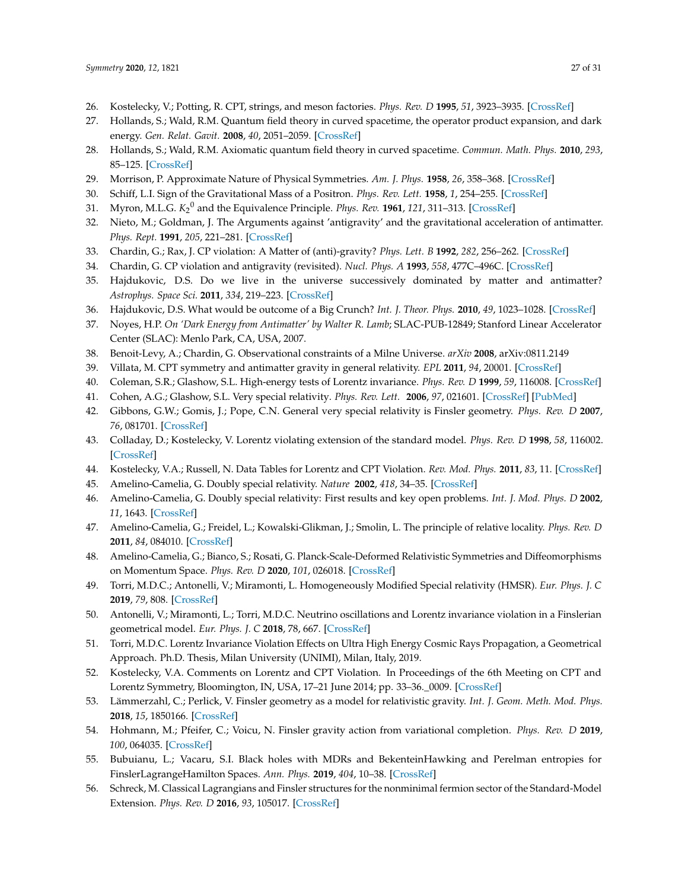- <span id="page-26-0"></span>26. Kostelecky, V.; Potting, R. CPT, strings, and meson factories. *Phys. Rev. D* **1995**, *51*, 3923–3935. [\[CrossRef\]](http://dx.doi.org/10.1103/PhysRevD.51.3923)
- <span id="page-26-1"></span>27. Hollands, S.; Wald, R.M. Quantum field theory in curved spacetime, the operator product expansion, and dark energy. *Gen. Relat. Gavit.* **2008**, *40*, 2051–2059. [\[CrossRef\]](http://dx.doi.org/10.1007/s10714-008-0672-y)
- <span id="page-26-2"></span>28. Hollands, S.; Wald, R.M. Axiomatic quantum field theory in curved spacetime. *Commun. Math. Phys.* **2010**, *293*, 85–125. [\[CrossRef\]](http://dx.doi.org/10.1007/s00220-009-0880-7)
- <span id="page-26-3"></span>29. Morrison, P. Approximate Nature of Physical Symmetries. *Am. J. Phys.* **1958**, *26*, 358–368. [\[CrossRef\]](http://dx.doi.org/10.1119/1.1996159)
- 30. Schiff, L.I. Sign of the Gravitational Mass of a Positron. *Phys. Rev. Lett.* **1958**, *1*, 254–255. [\[CrossRef\]](http://dx.doi.org/10.1103/PhysRevLett.1.254)
- <span id="page-26-4"></span>31. Myron, M.L.G.  $K_2$ <sup>0</sup> and the Equivalence Principle. *Phys. Rev.* **1961**, 121, 311–313. [\[CrossRef\]](http://dx.doi.org/10.1103/PhysRev.121.311)
- <span id="page-26-5"></span>32. Nieto, M.; Goldman, J. The Arguments against 'antigravity' and the gravitational acceleration of antimatter. *Phys. Rept.* **1991**, *205*, 221–281. [\[CrossRef\]](http://dx.doi.org/10.1016/0370-1573(91)90138-C)
- 33. Chardin, G.; Rax, J. CP violation: A Matter of (anti)-gravity? *Phys. Lett. B* **1992**, *282*, 256–262. [\[CrossRef\]](http://dx.doi.org/10.1016/0370-2693(92)90510-B)
- 34. Chardin, G. CP violation and antigravity (revisited). *Nucl. Phys. A* **1993**, *558*, 477C–496C. [\[CrossRef\]](http://dx.doi.org/10.1016/0375-9474(93)90415-T)
- <span id="page-26-6"></span>35. Hajdukovic, D.S. Do we live in the universe successively dominated by matter and antimatter? *Astrophys. Space Sci.* **2011**, *334*, 219–223. [\[CrossRef\]](http://dx.doi.org/10.1007/s10509-011-0754-2)
- <span id="page-26-7"></span>36. Hajdukovic, D.S. What would be outcome of a Big Crunch? *Int. J. Theor. Phys.* **2010**, *49*, 1023–1028. [\[CrossRef\]](http://dx.doi.org/10.1007/s10773-010-0281-x)
- <span id="page-26-8"></span>37. Noyes, H.P. *On 'Dark Energy from Antimatter' by Walter R. Lamb*; SLAC-PUB-12849; Stanford Linear Accelerator Center (SLAC): Menlo Park, CA, USA, 2007.
- <span id="page-26-9"></span>38. Benoit-Levy, A.; Chardin, G. Observational constraints of a Milne Universe. *arXiv* **2008**, arXiv:0811.2149
- <span id="page-26-10"></span>39. Villata, M. CPT symmetry and antimatter gravity in general relativity. *EPL* **2011**, *94*, 20001. [\[CrossRef\]](http://dx.doi.org/10.1209/0295-5075/94/20001)
- <span id="page-26-12"></span><span id="page-26-11"></span>40. Coleman, S.R.; Glashow, S.L. High-energy tests of Lorentz invariance. *Phys. Rev. D* **1999**, *59*, 116008. [\[CrossRef\]](http://dx.doi.org/10.1103/PhysRevD.59.116008)
- <span id="page-26-13"></span>41. Cohen, A.G.; Glashow, S.L. Very special relativity. *Phys. Rev. Lett.* **2006**, *97*, 021601. [\[CrossRef\]](http://dx.doi.org/10.1103/PhysRevLett.97.021601) [\[PubMed\]](http://www.ncbi.nlm.nih.gov/pubmed/16907430)
- 42. Gibbons, G.W.; Gomis, J.; Pope, C.N. General very special relativity is Finsler geometry. *Phys. Rev. D* **2007**, *76*, 081701. [\[CrossRef\]](http://dx.doi.org/10.1103/PhysRevD.76.081701)
- <span id="page-26-14"></span>43. Colladay, D.; Kostelecky, V. Lorentz violating extension of the standard model. *Phys. Rev. D* **1998**, *58*, 116002. [\[CrossRef\]](http://dx.doi.org/10.1103/PhysRevD.58.116002)
- <span id="page-26-15"></span>44. Kostelecky, V.A.; Russell, N. Data Tables for Lorentz and CPT Violation. *Rev. Mod. Phys.* **2011**, *83*, 11. [\[CrossRef\]](http://dx.doi.org/10.1103/RevModPhys.83.11)
- <span id="page-26-16"></span>45. Amelino-Camelia, G. Doubly special relativity. *Nature* **2002**, *418*, 34–35. [\[CrossRef\]](http://dx.doi.org/10.1038/418034a)
- 46. Amelino-Camelia, G. Doubly special relativity: First results and key open problems. *Int. J. Mod. Phys. D* **2002**, *11*, 1643. [\[CrossRef\]](http://dx.doi.org/10.1142/S021827180200302X)
- 47. Amelino-Camelia, G.; Freidel, L.; Kowalski-Glikman, J.; Smolin, L. The principle of relative locality. *Phys. Rev. D* **2011**, *84*, 084010. [\[CrossRef\]](http://dx.doi.org/10.1103/PhysRevD.84.084010)
- <span id="page-26-17"></span>48. Amelino-Camelia, G.; Bianco, S.; Rosati, G. Planck-Scale-Deformed Relativistic Symmetries and Diffeomorphisms on Momentum Space. *Phys. Rev. D* **2020**, *101*, 026018. [\[CrossRef\]](http://dx.doi.org/10.1103/PhysRevD.101.026018)
- <span id="page-26-18"></span>49. Torri, M.D.C.; Antonelli, V.; Miramonti, L. Homogeneously Modified Special relativity (HMSR). *Eur. Phys. J. C* **2019**, *79*, 808. [\[CrossRef\]](http://dx.doi.org/10.1140/epjc/s10052-019-7301-7)
- <span id="page-26-23"></span>50. Antonelli, V.; Miramonti, L.; Torri, M.D.C. Neutrino oscillations and Lorentz invariance violation in a Finslerian geometrical model. *Eur. Phys. J. C* **2018**, 78, 667. [\[CrossRef\]](http://dx.doi.org/10.1140/epjc/s10052-018-6124-2)
- <span id="page-26-19"></span>51. Torri, M.D.C. Lorentz Invariance Violation Effects on Ultra High Energy Cosmic Rays Propagation, a Geometrical Approach. Ph.D. Thesis, Milan University (UNIMI), Milan, Italy, 2019.
- <span id="page-26-20"></span>52. Kostelecky, V.A. Comments on Lorentz and CPT Violation. In Proceedings of the 6th Meeting on CPT and Lorentz Symmetry, Bloomington, IN, USA, 17–21 June 2014; pp. 33–36.\_0009. [\[CrossRef\]](http://dx.doi.org/10.1142/9789814566438_0009)
- <span id="page-26-21"></span>53. Lämmerzahl, C.; Perlick, V. Finsler geometry as a model for relativistic gravity. *Int. J. Geom. Meth. Mod. Phys.* **2018**, *15*, 1850166. [\[CrossRef\]](http://dx.doi.org/10.1142/S0219887818501669)
- 54. Hohmann, M.; Pfeifer, C.; Voicu, N. Finsler gravity action from variational completion. *Phys. Rev. D* **2019**, *100*, 064035. [\[CrossRef\]](http://dx.doi.org/10.1103/PhysRevD.100.064035)
- 55. Bubuianu, L.; Vacaru, S.I. Black holes with MDRs and BekenteinHawking and Perelman entropies for FinslerLagrangeHamilton Spaces. *Ann. Phys.* **2019**, *404*, 10–38. [\[CrossRef\]](http://dx.doi.org/10.1016/j.aop.2019.02.013)
- <span id="page-26-22"></span>56. Schreck, M. Classical Lagrangians and Finsler structures for the nonminimal fermion sector of the Standard-Model Extension. *Phys. Rev. D* **2016**, *93*, 105017. [\[CrossRef\]](http://dx.doi.org/10.1103/PhysRevD.93.105017)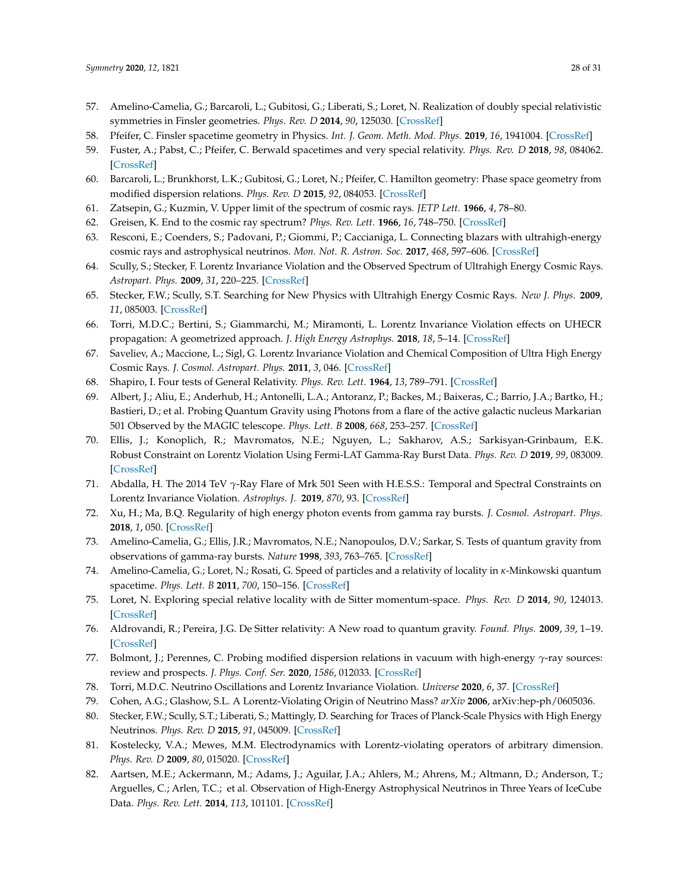- <span id="page-27-0"></span>57. Amelino-Camelia, G.; Barcaroli, L.; Gubitosi, G.; Liberati, S.; Loret, N. Realization of doubly special relativistic symmetries in Finsler geometries. *Phys. Rev. D* **2014**, *90*, 125030. [\[CrossRef\]](http://dx.doi.org/10.1103/PhysRevD.90.125030)
- <span id="page-27-1"></span>58. Pfeifer, C. Finsler spacetime geometry in Physics. *Int. J. Geom. Meth. Mod. Phys.* **2019**, *16*, 1941004. [\[CrossRef\]](http://dx.doi.org/10.1142/S0219887819410044)
- <span id="page-27-2"></span>59. Fuster, A.; Pabst, C.; Pfeifer, C. Berwald spacetimes and very special relativity. *Phys. Rev. D* **2018**, *98*, 084062. [\[CrossRef\]](http://dx.doi.org/10.1103/PhysRevD.98.084062)
- <span id="page-27-3"></span>60. Barcaroli, L.; Brunkhorst, L.K.; Gubitosi, G.; Loret, N.; Pfeifer, C. Hamilton geometry: Phase space geometry from modified dispersion relations. *Phys. Rev. D* **2015**, *92*, 084053. [\[CrossRef\]](http://dx.doi.org/10.1103/PhysRevD.92.084053)
- <span id="page-27-5"></span><span id="page-27-4"></span>61. Zatsepin, G.; Kuzmin, V. Upper limit of the spectrum of cosmic rays. *JETP Lett.* **1966**, *4*, 78–80.
- 62. Greisen, K. End to the cosmic ray spectrum? *Phys. Rev. Lett.* **1966**, *16*, 748–750. [\[CrossRef\]](http://dx.doi.org/10.1103/PhysRevLett.16.748)
- <span id="page-27-6"></span>63. Resconi, E.; Coenders, S.; Padovani, P.; Giommi, P.; Caccianiga, L. Connecting blazars with ultrahigh-energy cosmic rays and astrophysical neutrinos. *Mon. Not. R. Astron. Soc.* **2017**, *468*, 597–606. [\[CrossRef\]](http://dx.doi.org/10.1093/mnras/stx498)
- <span id="page-27-7"></span>64. Scully, S.; Stecker, F. Lorentz Invariance Violation and the Observed Spectrum of Ultrahigh Energy Cosmic Rays. *Astropart. Phys.* **2009**, *31*, 220–225. [\[CrossRef\]](http://dx.doi.org/10.1016/j.astropartphys.2009.01.002)
- 65. Stecker, F.W.; Scully, S.T. Searching for New Physics with Ultrahigh Energy Cosmic Rays. *New J. Phys.* **2009**, *11*, 085003. [\[CrossRef\]](http://dx.doi.org/10.1088/1367-2630/11/8/085003)
- <span id="page-27-8"></span>66. Torri, M.D.C.; Bertini, S.; Giammarchi, M.; Miramonti, L. Lorentz Invariance Violation effects on UHECR propagation: A geometrized approach. *J. High Energy Astrophys.* **2018**, *18*, 5–14. [\[CrossRef\]](http://dx.doi.org/10.1016/j.jheap.2018.01.001)
- <span id="page-27-9"></span>67. Saveliev, A.; Maccione, L.; Sigl, G. Lorentz Invariance Violation and Chemical Composition of Ultra High Energy Cosmic Rays. *J. Cosmol. Astropart. Phys.* **2011**, *3*, 046. [\[CrossRef\]](http://dx.doi.org/10.1088/1475-7516/2011/03/046)
- <span id="page-27-10"></span>68. Shapiro, I. Four tests of General Relativity. *Phys. Rev. Lett.* **1964**, *13*, 789–791. [\[CrossRef\]](http://dx.doi.org/10.1103/PhysRevLett.13.789)
- <span id="page-27-11"></span>69. Albert, J.; Aliu, E.; Anderhub, H.; Antonelli, L.A.; Antoranz, P.; Backes, M.; Baixeras, C.; Barrio, J.A.; Bartko, H.; Bastieri, D.; et al. Probing Quantum Gravity using Photons from a flare of the active galactic nucleus Markarian 501 Observed by the MAGIC telescope. *Phys. Lett. B* **2008**, *668*, 253–257. [\[CrossRef\]](http://dx.doi.org/10.1016/j.physletb.2008.08.053)
- <span id="page-27-12"></span>70. Ellis, J.; Konoplich, R.; Mavromatos, N.E.; Nguyen, L.; Sakharov, A.S.; Sarkisyan-Grinbaum, E.K. Robust Constraint on Lorentz Violation Using Fermi-LAT Gamma-Ray Burst Data. *Phys. Rev. D* **2019**, *99*, 083009. [\[CrossRef\]](http://dx.doi.org/10.1103/PhysRevD.99.083009)
- 71. Abdalla, H. The 2014 TeV *γ*-Ray Flare of Mrk 501 Seen with H.E.S.S.: Temporal and Spectral Constraints on Lorentz Invariance Violation. *Astrophys. J.* **2019**, *870*, 93. [\[CrossRef\]](http://dx.doi.org/10.3847/1538-4357/aaf1c4)
- <span id="page-27-13"></span>72. Xu, H.; Ma, B.Q. Regularity of high energy photon events from gamma ray bursts. *J. Cosmol. Astropart. Phys.* **2018**, *1*, 050. [\[CrossRef\]](http://dx.doi.org/10.1088/1475-7516/2018/01/050)
- <span id="page-27-14"></span>73. Amelino-Camelia, G.; Ellis, J.R.; Mavromatos, N.E.; Nanopoulos, D.V.; Sarkar, S. Tests of quantum gravity from observations of gamma-ray bursts. *Nature* **1998**, *393*, 763–765. [\[CrossRef\]](http://dx.doi.org/10.1038/31647)
- 74. Amelino-Camelia, G.; Loret, N.; Rosati, G. Speed of particles and a relativity of locality in *κ*-Minkowski quantum spacetime. *Phys. Lett. B* **2011**, *700*, 150–156. [\[CrossRef\]](http://dx.doi.org/10.1016/j.physletb.2011.04.054)
- 75. Loret, N. Exploring special relative locality with de Sitter momentum-space. *Phys. Rev. D* **2014**, *90*, 124013. [\[CrossRef\]](http://dx.doi.org/10.1103/PhysRevD.90.124013)
- <span id="page-27-15"></span>76. Aldrovandi, R.; Pereira, J.G. De Sitter relativity: A New road to quantum gravity. *Found. Phys.* **2009**, *39*, 1–19. [\[CrossRef\]](http://dx.doi.org/10.1007/s10701-008-9258-5)
- <span id="page-27-16"></span>77. Bolmont, J.; Perennes, C. Probing modified dispersion relations in vacuum with high-energy *γ*-ray sources: review and prospects. *J. Phys. Conf. Ser.* **2020**, *1586*, 012033. [\[CrossRef\]](http://dx.doi.org/10.1088/1742-6596/1586/1/012033)
- <span id="page-27-18"></span><span id="page-27-17"></span>78. Torri, M.D.C. Neutrino Oscillations and Lorentz Invariance Violation. *Universe* **2020**, *6*, 37. [\[CrossRef\]](http://dx.doi.org/10.3390/universe6030037)
- 79. Cohen, A.G.; Glashow, S.L. A Lorentz-Violating Origin of Neutrino Mass? *arXiv* **2006**, arXiv:hep-ph/0605036.
- <span id="page-27-19"></span>80. Stecker, F.W.; Scully, S.T.; Liberati, S.; Mattingly, D. Searching for Traces of Planck-Scale Physics with High Energy Neutrinos. *Phys. Rev. D* **2015**, *91*, 045009. [\[CrossRef\]](http://dx.doi.org/10.1103/PhysRevD.91.045009)
- <span id="page-27-20"></span>81. Kostelecky, V.A.; Mewes, M.M. Electrodynamics with Lorentz-violating operators of arbitrary dimension. *Phys. Rev. D* **2009**, *80*, 015020. [\[CrossRef\]](http://dx.doi.org/10.1103/PhysRevD.80.015020)
- <span id="page-27-21"></span>82. Aartsen, M.E.; Ackermann, M.; Adams, J.; Aguilar, J.A.; Ahlers, M.; Ahrens, M.; Altmann, D.; Anderson, T.; Arguelles, C.; Arlen, T.C.; et al. Observation of High-Energy Astrophysical Neutrinos in Three Years of IceCube Data. *Phys. Rev. Lett.* **2014**, *113*, 101101. [\[CrossRef\]](http://dx.doi.org/10.1103/PhysRevLett.113.101101)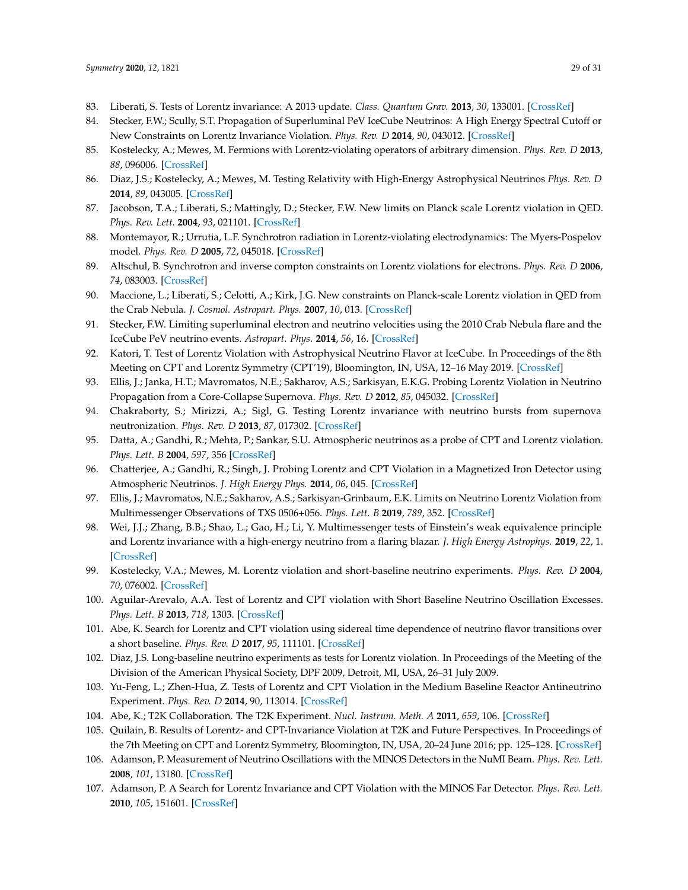- <span id="page-28-0"></span>83. Liberati, S. Tests of Lorentz invariance: A 2013 update. *Class. Quantum Grav.* **2013**, *30*, 133001. [\[CrossRef\]](http://dx.doi.org/10.1088/0264-9381/30/13/133001)
- <span id="page-28-1"></span>84. Stecker, F.W.; Scully, S.T. Propagation of Superluminal PeV IceCube Neutrinos: A High Energy Spectral Cutoff or New Constraints on Lorentz Invariance Violation. *Phys. Rev. D* **2014**, *90*, 043012. [\[CrossRef\]](http://dx.doi.org/10.1103/PhysRevD.90.043012)
- <span id="page-28-2"></span>85. Kostelecky, A.; Mewes, M. Fermions with Lorentz-violating operators of arbitrary dimension. *Phys. Rev. D* **2013**, *88*, 096006. [\[CrossRef\]](http://dx.doi.org/10.1103/PhysRevD.88.096006)
- <span id="page-28-3"></span>86. Diaz, J.S.; Kostelecky, A.; Mewes, M. Testing Relativity with High-Energy Astrophysical Neutrinos *Phys. Rev. D* **2014**, *89*, 043005. [\[CrossRef\]](http://dx.doi.org/10.1103/PhysRevD.89.043005)
- <span id="page-28-4"></span>87. Jacobson, T.A.; Liberati, S.; Mattingly, D.; Stecker, F.W. New limits on Planck scale Lorentz violation in QED. *Phys. Rev. Lett.* **2004**, *93*, 021101. [\[CrossRef\]](http://dx.doi.org/10.1103/PhysRevLett.93.021101)
- 88. Montemayor, R.; Urrutia, L.F. Synchrotron radiation in Lorentz-violating electrodynamics: The Myers-Pospelov model. *Phys. Rev. D* **2005**, *72*, 045018. [\[CrossRef\]](http://dx.doi.org/10.1103/PhysRevD.72.045018)
- 89. Altschul, B. Synchrotron and inverse compton constraints on Lorentz violations for electrons. *Phys. Rev. D* **2006**, *74*, 083003. [\[CrossRef\]](http://dx.doi.org/10.1103/PhysRevD.74.083003)
- 90. Maccione, L.; Liberati, S.; Celotti, A.; Kirk, J.G. New constraints on Planck-scale Lorentz violation in QED from the Crab Nebula. *J. Cosmol. Astropart. Phys.* **2007**, *10*, 013. [\[CrossRef\]](http://dx.doi.org/10.1088/1475-7516/2007/10/013)
- <span id="page-28-5"></span>91. Stecker, F.W. Limiting superluminal electron and neutrino velocities using the 2010 Crab Nebula flare and the IceCube PeV neutrino events. *Astropart. Phys*. **2014**, *56*, 16. [\[CrossRef\]](http://dx.doi.org/10.1016/j.astropartphys.2014.02.007)
- <span id="page-28-6"></span>92. Katori, T. Test of Lorentz Violation with Astrophysical Neutrino Flavor at IceCube. In Proceedings of the 8th Meeting on CPT and Lorentz Symmetry (CPT'19), Bloomington, IN, USA, 12–16 May 2019. [\[CrossRef\]](http://dx.doi.org/10.1142/9789811213984_0042)
- <span id="page-28-7"></span>93. Ellis, J.; Janka, H.T.; Mavromatos, N.E.; Sakharov, A.S.; Sarkisyan, E.K.G. Probing Lorentz Violation in Neutrino Propagation from a Core-Collapse Supernova. *Phys. Rev. D* **2012**, *85*, 045032. [\[CrossRef\]](http://dx.doi.org/10.1103/PhysRevD.85.045032)
- <span id="page-28-8"></span>94. Chakraborty, S.; Mirizzi, A.; Sigl, G. Testing Lorentz invariance with neutrino bursts from supernova neutronization. *Phys. Rev. D* **2013**, *87*, 017302. [\[CrossRef\]](http://dx.doi.org/10.1103/PhysRevD.87.017302)
- <span id="page-28-9"></span>95. Datta, A.; Gandhi, R.; Mehta, P.; Sankar, S.U. Atmospheric neutrinos as a probe of CPT and Lorentz violation. *Phys. Lett. B* **2004**, *597*, 356 [\[CrossRef\]](http://dx.doi.org/10.1016/j.physletb.2004.07.035)
- <span id="page-28-10"></span>96. Chatterjee, A.; Gandhi, R.; Singh, J. Probing Lorentz and CPT Violation in a Magnetized Iron Detector using Atmospheric Neutrinos. *J. High Energy Phys.* **2014**, *06*, 045. [\[CrossRef\]](http://dx.doi.org/10.1007/JHEP06(2014)045)
- <span id="page-28-11"></span>97. Ellis, J.; Mavromatos, N.E.; Sakharov, A.S.; Sarkisyan-Grinbaum, E.K. Limits on Neutrino Lorentz Violation from Multimessenger Observations of TXS 0506+056. *Phys. Lett. B* **2019**, *789*, 352. [\[CrossRef\]](http://dx.doi.org/10.1016/j.physletb.2018.11.062)
- <span id="page-28-12"></span>98. Wei, J.J.; Zhang, B.B.; Shao, L.; Gao, H.; Li, Y. Multimessenger tests of Einstein's weak equivalence principle and Lorentz invariance with a high-energy neutrino from a flaring blazar. *J. High Energy Astrophys.* **2019**, *22*, 1. [\[CrossRef\]](http://dx.doi.org/10.1016/j.jheap.2019.01.002)
- <span id="page-28-13"></span>99. Kostelecky, V.A.; Mewes, M. Lorentz violation and short-baseline neutrino experiments. *Phys. Rev. D* **2004**, *70*, 076002. [\[CrossRef\]](http://dx.doi.org/10.1103/PhysRevD.70.076002)
- <span id="page-28-14"></span>100. Aguilar-Arevalo, A.A. Test of Lorentz and CPT violation with Short Baseline Neutrino Oscillation Excesses. *Phys. Lett. B* **2013**, *718*, 1303. [\[CrossRef\]](http://dx.doi.org/10.1016/j.physletb.2012.12.020)
- <span id="page-28-15"></span>101. Abe, K. Search for Lorentz and CPT violation using sidereal time dependence of neutrino flavor transitions over a short baseline. *Phys. Rev. D* **2017**, *95*, 111101. [\[CrossRef\]](http://dx.doi.org/10.1103/PhysRevD.95.111101)
- <span id="page-28-16"></span>102. Diaz, J.S. Long-baseline neutrino experiments as tests for Lorentz violation. In Proceedings of the Meeting of the Division of the American Physical Society, DPF 2009, Detroit, MI, USA, 26–31 July 2009.
- <span id="page-28-17"></span>103. Yu-Feng, L.; Zhen-Hua, Z. Tests of Lorentz and CPT Violation in the Medium Baseline Reactor Antineutrino Experiment. *Phys. Rev. D* **2014**, 90, 113014. [\[CrossRef\]](http://dx.doi.org/10.1103/PhysRevD.90.113014)
- <span id="page-28-19"></span><span id="page-28-18"></span>104. Abe, K.; T2K Collaboration. The T2K Experiment. *Nucl. Instrum. Meth. A* **2011**, *659*, 106. [\[CrossRef\]](http://dx.doi.org/10.1016/j.nima.2011.06.067)
- 105. Quilain, B. Results of Lorentz- and CPT-Invariance Violation at T2K and Future Perspectives. In Proceedings of the 7th Meeting on CPT and Lorentz Symmetry, Bloomington, IN, USA, 20–24 June 2016; pp. 125–128. [\[CrossRef\]](http://dx.doi.org/10.1142/9789813148505_0032)
- <span id="page-28-20"></span>106. Adamson, P. Measurement of Neutrino Oscillations with the MINOS Detectors in the NuMI Beam. *Phys. Rev. Lett.* **2008**, *101*, 13180. [\[CrossRef\]](http://dx.doi.org/10.1103/PhysRevLett.101.131802)
- 107. Adamson, P. A Search for Lorentz Invariance and CPT Violation with the MINOS Far Detector. *Phys. Rev. Lett.* **2010**, *105*, 151601. [\[CrossRef\]](http://dx.doi.org/10.1103/PhysRevLett.105.151601)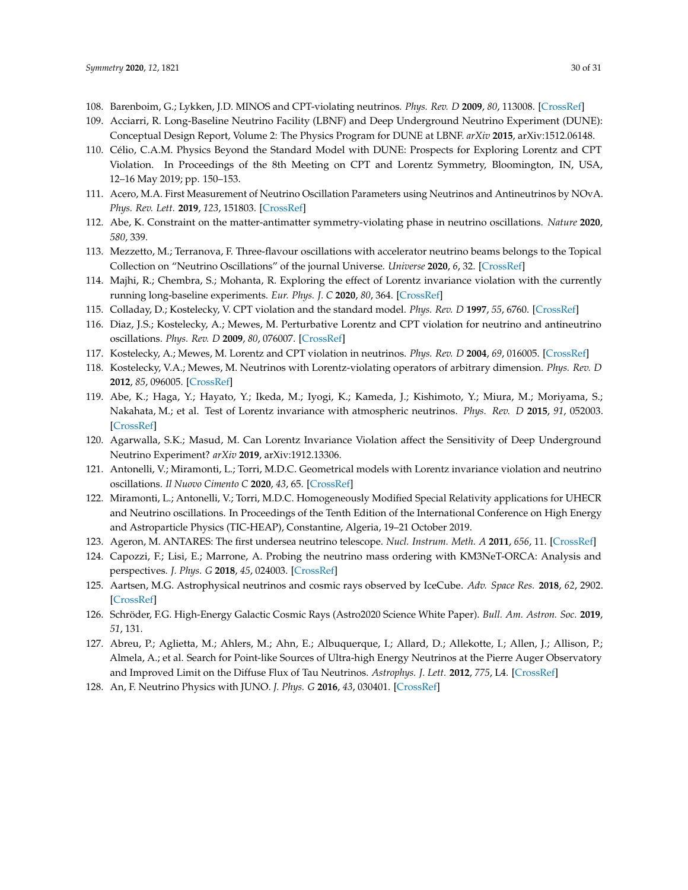- <span id="page-29-0"></span>108. Barenboim, G.; Lykken, J.D. MINOS and CPT-violating neutrinos. *Phys. Rev. D* **2009**, *80*, 113008. [\[CrossRef\]](http://dx.doi.org/10.1103/PhysRevD.80.113008)
- <span id="page-29-1"></span>109. Acciarri, R. Long-Baseline Neutrino Facility (LBNF) and Deep Underground Neutrino Experiment (DUNE): Conceptual Design Report, Volume 2: The Physics Program for DUNE at LBNF. *arXiv* **2015**, arXiv:1512.06148.
- <span id="page-29-2"></span>110. Célio, C.A.M. Physics Beyond the Standard Model with DUNE: Prospects for Exploring Lorentz and CPT Violation. In Proceedings of the 8th Meeting on CPT and Lorentz Symmetry, Bloomington, IN, USA, 12–16 May 2019; pp. 150–153.
- <span id="page-29-3"></span>111. Acero, M.A. First Measurement of Neutrino Oscillation Parameters using Neutrinos and Antineutrinos by NOvA. *Phys. Rev. Lett.* **2019**, *123*, 151803. [\[CrossRef\]](http://dx.doi.org/10.1103/PhysRevLett.123.151803)
- <span id="page-29-4"></span>112. Abe, K. Constraint on the matter-antimatter symmetry-violating phase in neutrino oscillations. *Nature* **2020**, *580*, 339.
- <span id="page-29-5"></span>113. Mezzetto, M.; Terranova, F. Three-flavour oscillations with accelerator neutrino beams belongs to the Topical Collection on "Neutrino Oscillations" of the journal Universe. *Universe* **2020**, *6*, 32. [\[CrossRef\]](http://dx.doi.org/10.3390/universe6020032)
- <span id="page-29-6"></span>114. Majhi, R.; Chembra, S.; Mohanta, R. Exploring the effect of Lorentz invariance violation with the currently running long-baseline experiments. *Eur. Phys. J. C* **2020**, *80*, 364. [\[CrossRef\]](http://dx.doi.org/10.1140/epjc/s10052-020-7963-1)
- <span id="page-29-7"></span>115. Colladay, D.; Kostelecky, V. CPT violation and the standard model. *Phys. Rev. D* **1997**, *55*, 6760. [\[CrossRef\]](http://dx.doi.org/10.1103/PhysRevD.55.6760)
- <span id="page-29-8"></span>116. Diaz, J.S.; Kostelecky, A.; Mewes, M. Perturbative Lorentz and CPT violation for neutrino and antineutrino oscillations. *Phys. Rev. D* **2009**, *80*, 076007. [\[CrossRef\]](http://dx.doi.org/10.1103/PhysRevD.80.076007)
- <span id="page-29-9"></span>117. Kostelecky, A.; Mewes, M. Lorentz and CPT violation in neutrinos. *Phys. Rev. D* **2004**, *69*, 016005. [\[CrossRef\]](http://dx.doi.org/10.1103/PhysRevD.69.016005)
- <span id="page-29-10"></span>118. Kostelecky, V.A.; Mewes, M. Neutrinos with Lorentz-violating operators of arbitrary dimension. *Phys. Rev. D* **2012**, *85*, 096005. [\[CrossRef\]](http://dx.doi.org/10.1103/PhysRevD.85.096005)
- <span id="page-29-11"></span>119. Abe, K.; Haga, Y.; Hayato, Y.; Ikeda, M.; Iyogi, K.; Kameda, J.; Kishimoto, Y.; Miura, M.; Moriyama, S.; Nakahata, M.; et al. Test of Lorentz invariance with atmospheric neutrinos. *Phys. Rev. D* **2015**, *91*, 052003. [\[CrossRef\]](http://dx.doi.org/10.1103/PhysRevD.91.052003)
- <span id="page-29-12"></span>120. Agarwalla, S.K.; Masud, M. Can Lorentz Invariance Violation affect the Sensitivity of Deep Underground Neutrino Experiment? *arXiv* **2019**, arXiv:1912.13306.
- <span id="page-29-13"></span>121. Antonelli, V.; Miramonti, L.; Torri, M.D.C. Geometrical models with Lorentz invariance violation and neutrino oscillations. *Il Nuovo Cimento C* **2020**, *43*, 65. [\[CrossRef\]](http://dx.doi.org/10.1140/epjc/s10052-018-6124-2)
- <span id="page-29-14"></span>122. Miramonti, L.; Antonelli, V.; Torri, M.D.C. Homogeneously Modified Special Relativity applications for UHECR and Neutrino oscillations. In Proceedings of the Tenth Edition of the International Conference on High Energy and Astroparticle Physics (TIC-HEAP), Constantine, Algeria, 19–21 October 2019.
- <span id="page-29-16"></span><span id="page-29-15"></span>123. Ageron, M. ANTARES: The first undersea neutrino telescope. *Nucl. Instrum. Meth. A* **2011**, *656*, 11. [\[CrossRef\]](http://dx.doi.org/10.1016/j.nima.2011.06.103)
- 124. Capozzi, F.; Lisi, E.; Marrone, A. Probing the neutrino mass ordering with KM3NeT-ORCA: Analysis and perspectives. *J. Phys. G* **2018**, *45*, 024003. [\[CrossRef\]](http://dx.doi.org/10.1088/1361-6471/aa9503)
- <span id="page-29-17"></span>125. Aartsen, M.G. Astrophysical neutrinos and cosmic rays observed by IceCube. *Adv. Space Res.* **2018**, *62*, 2902. [\[CrossRef\]](http://dx.doi.org/10.1016/j.asr.2017.05.030)
- <span id="page-29-18"></span>126. Schröder, F.G. High-Energy Galactic Cosmic Rays (Astro2020 Science White Paper). *Bull. Am. Astron. Soc.* **2019**, *51*, 131.
- <span id="page-29-19"></span>127. Abreu, P.; Aglietta, M.; Ahlers, M.; Ahn, E.; Albuquerque, I.; Allard, D.; Allekotte, I.; Allen, J.; Allison, P.; Almela, A.; et al. Search for Point-like Sources of Ultra-high Energy Neutrinos at the Pierre Auger Observatory and Improved Limit on the Diffuse Flux of Tau Neutrinos. *Astrophys. J. Lett.* **2012**, *775*, L4. [\[CrossRef\]](http://dx.doi.org/10.1088/2041-8205/755/1/L4)
- <span id="page-29-20"></span>128. An, F. Neutrino Physics with JUNO. *J. Phys. G* **2016**, *43*, 030401. [\[CrossRef\]](http://dx.doi.org/10.1088/0954-3899/43/3/030401)